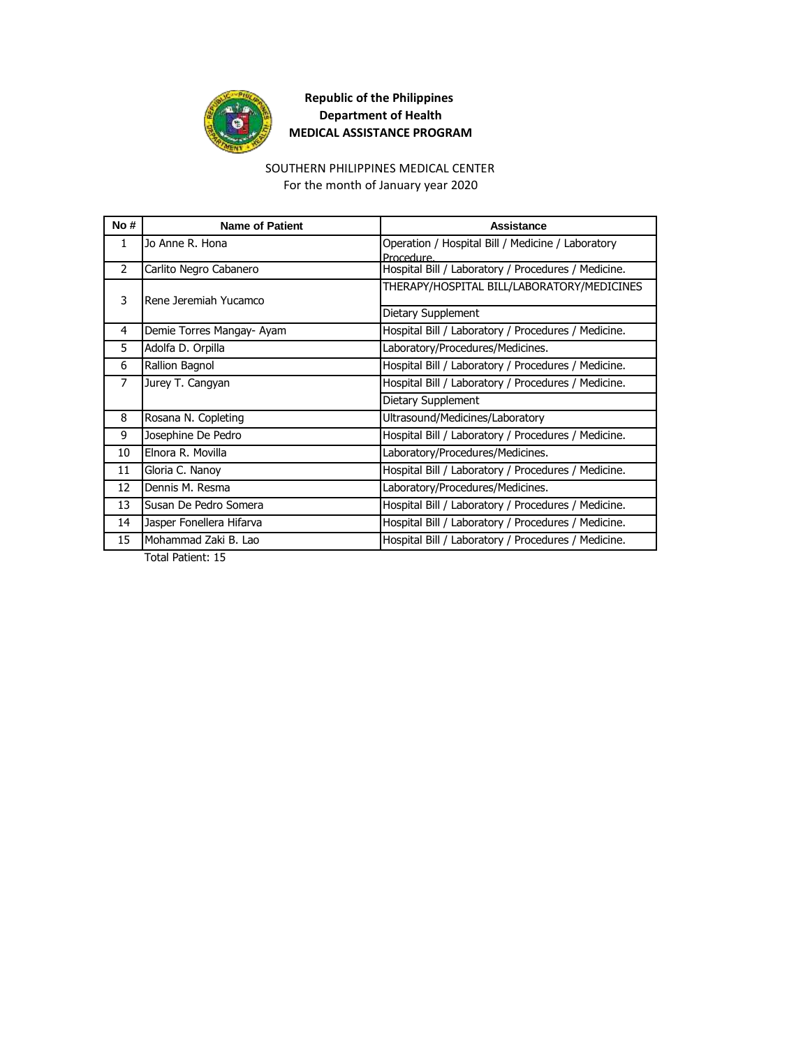

#### SOUTHERN PHILIPPINES MEDICAL CENTER

For the month of January year 2020

| No# | <b>Name of Patient</b>    | Assistance                                          |
|-----|---------------------------|-----------------------------------------------------|
| 1   | Jo Anne R. Hona           | Operation / Hospital Bill / Medicine / Laboratory   |
|     |                           | Procedure.                                          |
| 2   | Carlito Negro Cabanero    | Hospital Bill / Laboratory / Procedures / Medicine. |
| 3   | Rene Jeremiah Yucamco     | THERAPY/HOSPITAL BILL/LABORATORY/MEDICINES          |
|     |                           | Dietary Supplement                                  |
| 4   | Demie Torres Mangay- Ayam | Hospital Bill / Laboratory / Procedures / Medicine. |
| 5.  | Adolfa D. Orpilla         | Laboratory/Procedures/Medicines.                    |
| 6   | Rallion Bagnol            | Hospital Bill / Laboratory / Procedures / Medicine. |
| 7   | Jurey T. Cangyan          | Hospital Bill / Laboratory / Procedures / Medicine. |
|     |                           | Dietary Supplement                                  |
| 8   | Rosana N. Copleting       | Ultrasound/Medicines/Laboratory                     |
| 9   | Josephine De Pedro        | Hospital Bill / Laboratory / Procedures / Medicine. |
| 10  | Elnora R. Movilla         | Laboratory/Procedures/Medicines.                    |
| 11  | Gloria C. Nanoy           | Hospital Bill / Laboratory / Procedures / Medicine. |
| 12  | Dennis M. Resma           | Laboratory/Procedures/Medicines.                    |
| 13  | Susan De Pedro Somera     | Hospital Bill / Laboratory / Procedures / Medicine. |
| 14  | Jasper Fonellera Hifarva  | Hospital Bill / Laboratory / Procedures / Medicine. |
| 15  | Mohammad Zaki B. Lao      | Hospital Bill / Laboratory / Procedures / Medicine. |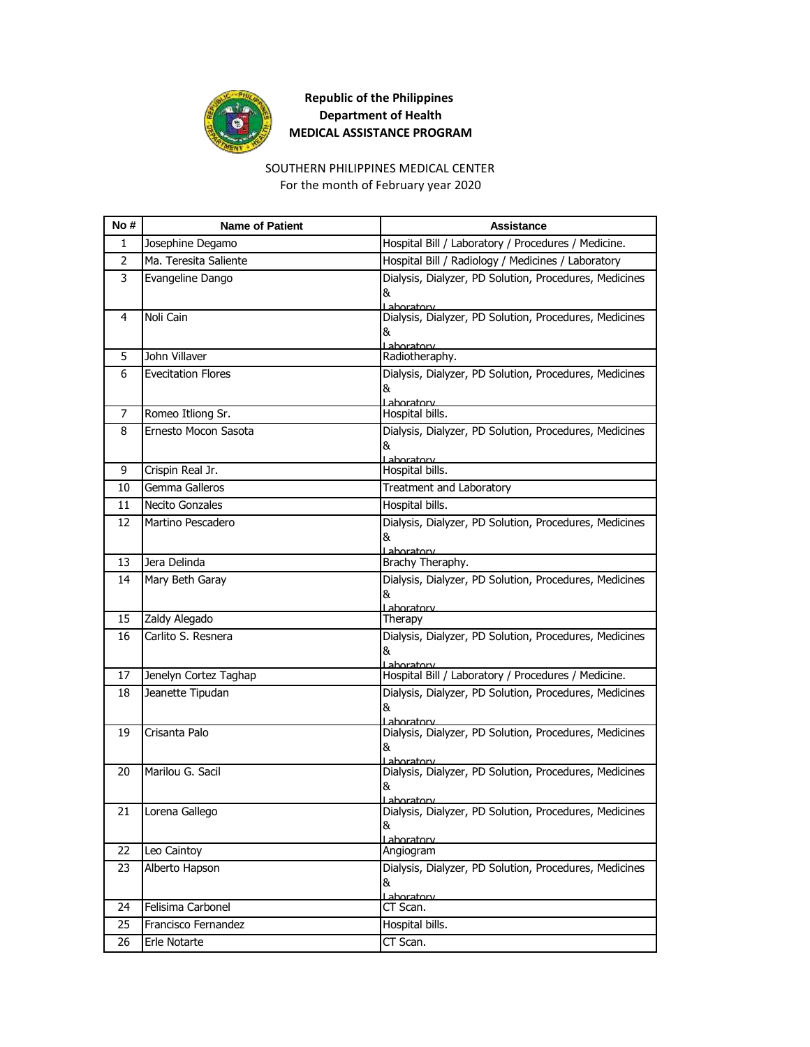

### SOUTHERN PHILIPPINES MEDICAL CENTER For the month of February year 2020

| No #           | <b>Name of Patient</b>    | Assistance                                                                 |
|----------------|---------------------------|----------------------------------------------------------------------------|
| 1              | Josephine Degamo          | Hospital Bill / Laboratory / Procedures / Medicine.                        |
| $\overline{2}$ | Ma. Teresita Saliente     | Hospital Bill / Radiology / Medicines / Laboratory                         |
| 3              | Evangeline Dango          | Dialysis, Dialyzer, PD Solution, Procedures, Medicines<br>&<br>Lahoratory  |
| 4              | Noli Cain                 | Dialysis, Dialyzer, PD Solution, Procedures, Medicines<br>&<br>Laboratory  |
| 5              | John Villaver             | Radiotheraphy.                                                             |
| 6              | <b>Evecitation Flores</b> | Dialysis, Dialyzer, PD Solution, Procedures, Medicines<br>&<br>Laboratory  |
| 7              | Romeo Itliong Sr.         | Hospital bills.                                                            |
| 8              | Ernesto Mocon Sasota      | Dialysis, Dialyzer, PD Solution, Procedures, Medicines<br>&<br>Laboratory  |
| 9              | Crispin Real Jr.          | Hospital bills.                                                            |
| 10             | Gemma Galleros            | Treatment and Laboratory                                                   |
| 11             | <b>Necito Gonzales</b>    | Hospital bills.                                                            |
| 12             | Martino Pescadero         | Dialysis, Dialyzer, PD Solution, Procedures, Medicines<br>&<br>Laboratory  |
| 13             | Jera Delinda              | Brachy Theraphy.                                                           |
| 14             | Mary Beth Garay           | Dialysis, Dialyzer, PD Solution, Procedures, Medicines<br>&<br>Laboratory  |
| 15             | Zaldy Alegado             | Therapy                                                                    |
| 16             | Carlito S. Resnera        | Dialysis, Dialyzer, PD Solution, Procedures, Medicines<br>&<br>Laboratory  |
| 17             | Jenelyn Cortez Taghap     | Hospital Bill / Laboratory / Procedures / Medicine.                        |
| 18             | Jeanette Tipudan          | Dialysis, Dialyzer, PD Solution, Procedures, Medicines<br>&<br>I ahoratory |
| 19             | Crisanta Palo             | Dialysis, Dialyzer, PD Solution, Procedures, Medicines<br>&<br>l aboratory |
| 20             | Marilou G. Sacil          | Dialysis, Dialyzer, PD Solution, Procedures, Medicines<br>&<br>Lahoratory  |
| 21             | Lorena Gallego            | Dialysis, Dialyzer, PD Solution, Procedures, Medicines<br>&<br>Laboratory  |
| 22             | Leo Caintoy               | Angiogram                                                                  |
| 23             | Alberto Hapson            | Dialysis, Dialyzer, PD Solution, Procedures, Medicines<br>&<br>Laboratory  |
| 24             | Felisima Carbonel         | CT Scan.                                                                   |
| 25             | Francisco Fernandez       | Hospital bills.                                                            |
| 26             | Erle Notarte              | CT Scan.                                                                   |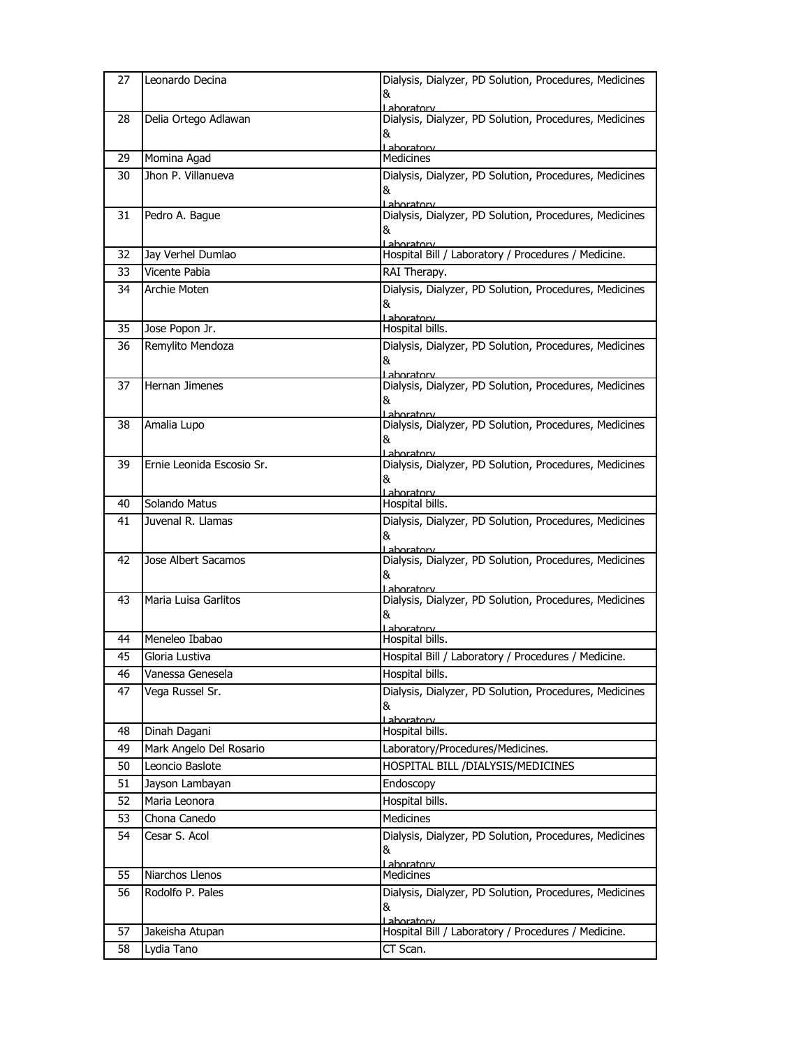| 27       | Leonardo Decina                   | Dialysis, Dialyzer, PD Solution, Procedures, Medicines               |
|----------|-----------------------------------|----------------------------------------------------------------------|
|          |                                   | &                                                                    |
| 28       | Delia Ortego Adlawan              | Lahoratory<br>Dialysis, Dialyzer, PD Solution, Procedures, Medicines |
|          |                                   | &                                                                    |
|          |                                   | Laboratory<br><b>Medicines</b>                                       |
| 29<br>30 | Momina Agad<br>Jhon P. Villanueva |                                                                      |
|          |                                   | Dialysis, Dialyzer, PD Solution, Procedures, Medicines<br>&          |
|          |                                   | Laboratory                                                           |
| 31       | Pedro A. Bague                    | Dialysis, Dialyzer, PD Solution, Procedures, Medicines               |
|          |                                   | &<br>Laboratory                                                      |
| 32       | Jay Verhel Dumlao                 | Hospital Bill / Laboratory / Procedures / Medicine.                  |
| 33       | Vicente Pabia                     | RAI Therapy.                                                         |
| 34       | Archie Moten                      | Dialysis, Dialyzer, PD Solution, Procedures, Medicines               |
|          |                                   | &                                                                    |
| 35       | Jose Popon Jr.                    | Laboratory<br>Hospital bills.                                        |
| 36       | Remylito Mendoza                  | Dialysis, Dialyzer, PD Solution, Procedures, Medicines               |
|          |                                   | &                                                                    |
| 37       | Hernan Jimenes                    | aboratory<br>Dialysis, Dialyzer, PD Solution, Procedures, Medicines  |
|          |                                   | &                                                                    |
|          |                                   | Laboratory                                                           |
| 38       | Amalia Lupo                       | Dialysis, Dialyzer, PD Solution, Procedures, Medicines               |
|          |                                   | &<br>aboratory                                                       |
| 39       | Ernie Leonida Escosio Sr.         | Dialysis, Dialyzer, PD Solution, Procedures, Medicines               |
|          |                                   | &                                                                    |
| 40       | Solando Matus                     | Laboratory<br>Hospital bills.                                        |
| 41       | Juvenal R. Llamas                 | Dialysis, Dialyzer, PD Solution, Procedures, Medicines               |
|          |                                   | &                                                                    |
|          |                                   | Lahoratorv                                                           |
|          |                                   |                                                                      |
| 42       | Jose Albert Sacamos               | Dialysis, Dialyzer, PD Solution, Procedures, Medicines<br>&          |
|          |                                   | Lahoratory                                                           |
| 43       | Maria Luisa Garlitos              | Dialysis, Dialyzer, PD Solution, Procedures, Medicines               |
|          |                                   | &<br>aboratory                                                       |
| 44       | Meneleo Ibabao                    | Hospital bills.                                                      |
| 45       | Gloria Lustiva                    | Hospital Bill / Laboratory / Procedures / Medicine.                  |
| 46       | Vanessa Genesela                  | Hospital bills.                                                      |
| 47       | Vega Russel Sr.                   | Dialysis, Dialyzer, PD Solution, Procedures, Medicines               |
|          |                                   | &                                                                    |
| 48       | Dinah Dagani                      | Lahoratory<br>Hospital bills.                                        |
| 49       | Mark Angelo Del Rosario           | Laboratory/Procedures/Medicines.                                     |
| 50       | Leoncio Baslote                   | HOSPITAL BILL / DIALYSIS/MEDICINES                                   |
| 51       | Jayson Lambayan                   | Endoscopy                                                            |
| 52       | Maria Leonora                     | Hospital bills.                                                      |
| 53       | Chona Canedo                      | Medicines                                                            |
| 54       | Cesar S. Acol                     | Dialysis, Dialyzer, PD Solution, Procedures, Medicines               |
|          |                                   | &                                                                    |
| 55       | Niarchos Llenos                   | Laboratory<br>Medicines                                              |
| 56       | Rodolfo P. Pales                  |                                                                      |
|          |                                   | Dialysis, Dialyzer, PD Solution, Procedures, Medicines<br>&          |
|          |                                   | Laboratory                                                           |
| 57<br>58 | Jakeisha Atupan<br>Lydia Tano     | Hospital Bill / Laboratory / Procedures / Medicine.<br>CT Scan.      |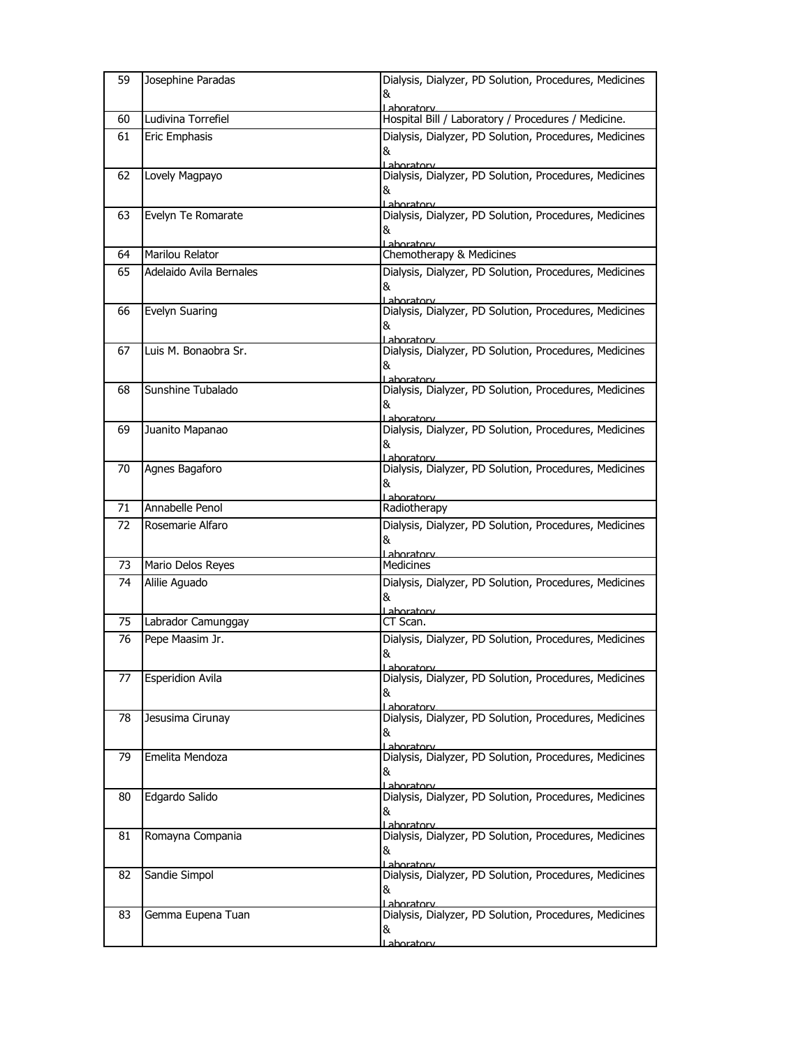| 59 | Josephine Paradas       | Dialysis, Dialyzer, PD Solution, Procedures, Medicines<br>&<br>Lahoratory           |
|----|-------------------------|-------------------------------------------------------------------------------------|
| 60 | Ludivina Torrefiel      | Hospital Bill / Laboratory / Procedures / Medicine.                                 |
| 61 | Eric Emphasis           | Dialysis, Dialyzer, PD Solution, Procedures, Medicines<br>&<br>Laboratory           |
| 62 | Lovely Magpayo          | Dialysis, Dialyzer, PD Solution, Procedures, Medicines<br>&<br>Laboratory           |
| 63 | Evelyn Te Romarate      | Dialysis, Dialyzer, PD Solution, Procedures, Medicines<br>&<br><u>I ahoratory –</u> |
| 64 | Marilou Relator         | Chemotherapy & Medicines                                                            |
| 65 | Adelaido Avila Bernales | Dialysis, Dialyzer, PD Solution, Procedures, Medicines<br>&<br>Laboratory           |
| 66 | Evelyn Suaring          | Dialysis, Dialyzer, PD Solution, Procedures, Medicines<br>&<br>Lahoratory           |
| 67 | Luis M. Bonaobra Sr.    | Dialysis, Dialyzer, PD Solution, Procedures, Medicines<br>&<br>Laboratory           |
| 68 | Sunshine Tubalado       | Dialysis, Dialyzer, PD Solution, Procedures, Medicines<br>&<br>l ahoratory          |
| 69 | Juanito Mapanao         | Dialysis, Dialyzer, PD Solution, Procedures, Medicines<br>&<br>Laboratory           |
| 70 | Agnes Bagaforo          | Dialysis, Dialyzer, PD Solution, Procedures, Medicines<br>&<br>Laboratory           |
| 71 | Annabelle Penol         | Radiotherapy                                                                        |
| 72 | Rosemarie Alfaro        | Dialysis, Dialyzer, PD Solution, Procedures, Medicines<br>&<br>Laboratory           |
| 73 | Mario Delos Reyes       | Medicines                                                                           |
| 74 | Alilie Aguado           | Dialysis, Dialyzer, PD Solution, Procedures, Medicines<br>&<br>Laboratory           |
| 75 | Labrador Camunggay      | CT Scan.                                                                            |
| 76 | Pepe Maasim Jr.         | Dialysis, Dialyzer, PD Solution, Procedures, Medicines<br>&<br><u>l aboratorv</u>   |
| 77 | <b>Esperidion Avila</b> | Dialysis, Dialyzer, PD Solution, Procedures, Medicines<br>&<br>Laboratory           |
| 78 | Jesusima Cirunay        | Dialysis, Dialyzer, PD Solution, Procedures, Medicines<br>&<br><u>l aboratorv</u>   |
| 79 | Emelita Mendoza         | Dialysis, Dialyzer, PD Solution, Procedures, Medicines<br>&<br>Laboratory           |
| 80 | Edgardo Salido          | Dialysis, Dialyzer, PD Solution, Procedures, Medicines<br>&<br>Laboratorv           |
| 81 | Romayna Compania        | Dialysis, Dialyzer, PD Solution, Procedures, Medicines<br>&<br>Laboratory           |
| 82 | Sandie Simpol           | Dialysis, Dialyzer, PD Solution, Procedures, Medicines<br>&<br>Laboratory           |
| 83 | Gemma Eupena Tuan       | Dialysis, Dialyzer, PD Solution, Procedures, Medicines<br>&<br><u>Laboratorv</u>    |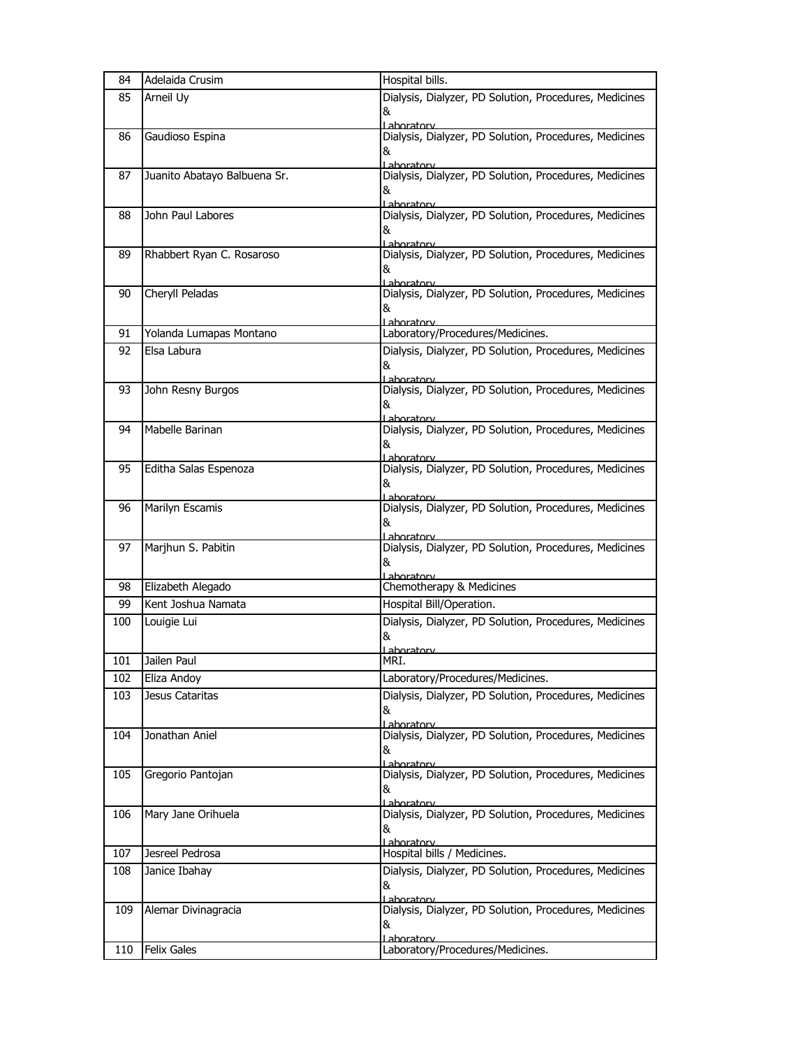| 84  | Adelaida Crusim              | Hospital bills.                                                      |
|-----|------------------------------|----------------------------------------------------------------------|
| 85  | Arneil Uy                    | Dialysis, Dialyzer, PD Solution, Procedures, Medicines               |
|     |                              | &                                                                    |
|     |                              | Laboratory                                                           |
| 86  | Gaudioso Espina              | Dialysis, Dialyzer, PD Solution, Procedures, Medicines<br>&          |
|     |                              | Laboratory                                                           |
| 87  | Juanito Abatayo Balbuena Sr. | Dialysis, Dialyzer, PD Solution, Procedures, Medicines               |
|     |                              | &                                                                    |
|     |                              | Lahoratory                                                           |
| 88  | John Paul Labores            | Dialysis, Dialyzer, PD Solution, Procedures, Medicines               |
|     |                              | &<br>Laboratory                                                      |
| 89  | Rhabbert Ryan C. Rosaroso    | Dialysis, Dialyzer, PD Solution, Procedures, Medicines               |
|     |                              | &                                                                    |
|     |                              | aboratory                                                            |
| 90  | Cheryll Peladas              | Dialysis, Dialyzer, PD Solution, Procedures, Medicines               |
|     |                              | &<br><u>l aboratory</u>                                              |
| 91  | Yolanda Lumapas Montano      | Laboratory/Procedures/Medicines.                                     |
| 92  | Elsa Labura                  | Dialysis, Dialyzer, PD Solution, Procedures, Medicines               |
|     |                              | &                                                                    |
|     |                              | Laboratory                                                           |
| 93  | John Resny Burgos            | Dialysis, Dialyzer, PD Solution, Procedures, Medicines               |
|     |                              | &                                                                    |
| 94  | Mabelle Barinan              | Lahoratory<br>Dialysis, Dialyzer, PD Solution, Procedures, Medicines |
|     |                              | &                                                                    |
|     |                              | Laboratory                                                           |
| 95  | Editha Salas Espenoza        | Dialysis, Dialyzer, PD Solution, Procedures, Medicines               |
|     |                              | &                                                                    |
| 96  | Marilyn Escamis              | Laboratorv<br>Dialysis, Dialyzer, PD Solution, Procedures, Medicines |
|     |                              | &                                                                    |
|     |                              | Laboratory                                                           |
| 97  | Marjhun S. Pabitin           | Dialysis, Dialyzer, PD Solution, Procedures, Medicines               |
|     |                              | &                                                                    |
| 98  | Elizabeth Alegado            | <u>l aboratory</u><br>Chemotherapy & Medicines                       |
| 99  | Kent Joshua Namata           | Hospital Bill/Operation.                                             |
| 100 | Louigie Lui                  | Dialysis, Dialyzer, PD Solution, Procedures, Medicines               |
|     |                              | &                                                                    |
|     |                              | <u>l ahoratorv</u>                                                   |
| 101 | Jailen Paul                  | MRI.                                                                 |
| 102 | Eliza Andoy                  | Laboratory/Procedures/Medicines.                                     |
| 103 | Jesus Cataritas              | Dialysis, Dialyzer, PD Solution, Procedures, Medicines               |
|     |                              | &                                                                    |
|     |                              | Laboratory                                                           |
| 104 | Jonathan Aniel               | Dialysis, Dialyzer, PD Solution, Procedures, Medicines               |
|     |                              | &                                                                    |
| 105 | Gregorio Pantojan            | Laboratory<br>Dialysis, Dialyzer, PD Solution, Procedures, Medicines |
|     |                              | &                                                                    |
|     |                              | l aboratory                                                          |
| 106 | Mary Jane Orihuela           | Dialysis, Dialyzer, PD Solution, Procedures, Medicines               |
|     |                              | &                                                                    |
| 107 | Jesreel Pedrosa              | Lahoratory<br>Hospital bills / Medicines.                            |
| 108 | Janice Ibahay                | Dialysis, Dialyzer, PD Solution, Procedures, Medicines               |
|     |                              | &                                                                    |
|     |                              | Laboratory                                                           |
| 109 | Alemar Divinagracia          | Dialysis, Dialyzer, PD Solution, Procedures, Medicines               |
|     |                              | &                                                                    |
|     |                              | Laboratory                                                           |
| 110 | <b>Felix Gales</b>           | Laboratory/Procedures/Medicines.                                     |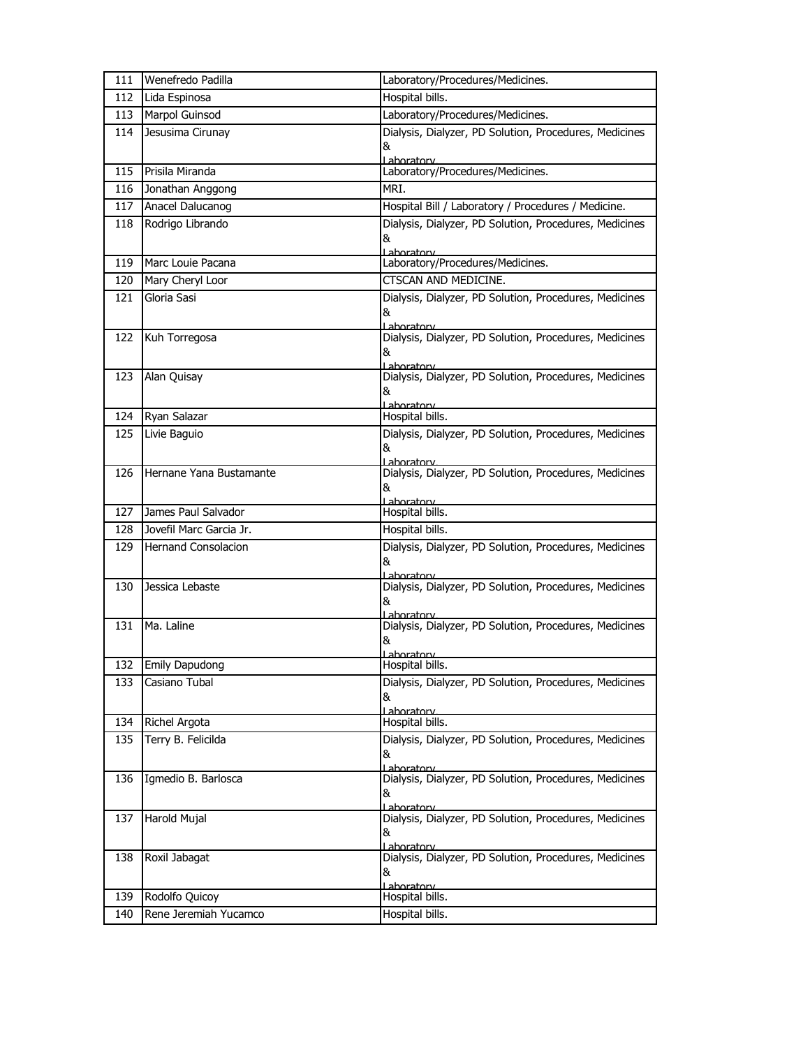| 111 | Wenefredo Padilla          | Laboratory/Procedures/Medicines.                                                  |
|-----|----------------------------|-----------------------------------------------------------------------------------|
| 112 | Lida Espinosa              | Hospital bills.                                                                   |
| 113 | Marpol Guinsod             | Laboratory/Procedures/Medicines.                                                  |
| 114 | Jesusima Cirunay           | Dialysis, Dialyzer, PD Solution, Procedures, Medicines<br>&<br>Laboratory         |
| 115 | Prisila Miranda            | Laboratory/Procedures/Medicines.                                                  |
| 116 | Jonathan Anggong           | MRI.                                                                              |
| 117 | Anacel Dalucanog           | Hospital Bill / Laboratory / Procedures / Medicine.                               |
| 118 | Rodrigo Librando           | Dialysis, Dialyzer, PD Solution, Procedures, Medicines<br>&<br>Laboratory         |
| 119 | Marc Louie Pacana          | Laboratory/Procedures/Medicines.                                                  |
| 120 | Mary Cheryl Loor           | CTSCAN AND MEDICINE.                                                              |
| 121 | Gloria Sasi                | Dialysis, Dialyzer, PD Solution, Procedures, Medicines<br>&<br>Lahoratory         |
| 122 | Kuh Torregosa              | Dialysis, Dialyzer, PD Solution, Procedures, Medicines<br>&<br>Laboratory         |
| 123 | Alan Quisay                | Dialysis, Dialyzer, PD Solution, Procedures, Medicines<br>&<br>Laboratory         |
| 124 | Ryan Salazar               | Hospital bills.                                                                   |
| 125 | Livie Baguio               | Dialysis, Dialyzer, PD Solution, Procedures, Medicines<br>&<br>Laboratory         |
| 126 | Hernane Yana Bustamante    | Dialysis, Dialyzer, PD Solution, Procedures, Medicines<br>&<br>Laboratory         |
| 127 | James Paul Salvador        | Hospital bills.                                                                   |
| 128 | Jovefil Marc Garcia Jr.    | Hospital bills.                                                                   |
| 129 | <b>Hernand Consolacion</b> | Dialysis, Dialyzer, PD Solution, Procedures, Medicines<br>&<br>Laboratory         |
| 130 | Jessica Lebaste            | Dialysis, Dialyzer, PD Solution, Procedures, Medicines<br>&<br>Laboratory         |
| 131 | Ma. Laline                 | Dialysis, Dialyzer, PD Solution, Procedures, Medicines<br>&<br><u>l ahoratorv</u> |
|     | 132 Emily Dapudong         | Hospital bills.                                                                   |
| 133 | Casiano Tubal              | Dialysis, Dialyzer, PD Solution, Procedures, Medicines<br>&<br>Lahoratory         |
| 134 | Richel Argota              | Hospital bills.                                                                   |
| 135 | Terry B. Felicilda         | Dialysis, Dialyzer, PD Solution, Procedures, Medicines<br>&<br>Laboratory         |
| 136 | Igmedio B. Barlosca        | Dialysis, Dialyzer, PD Solution, Procedures, Medicines<br>&<br>Lahoratory         |
| 137 | Harold Mujal               | Dialysis, Dialyzer, PD Solution, Procedures, Medicines<br>&<br>Lahoratory         |
| 138 | Roxil Jabagat              | Dialysis, Dialyzer, PD Solution, Procedures, Medicines<br>&<br>Laboratory         |
| 139 | Rodolfo Quicoy             | Hospital bills.                                                                   |
| 140 | Rene Jeremiah Yucamco      | Hospital bills.                                                                   |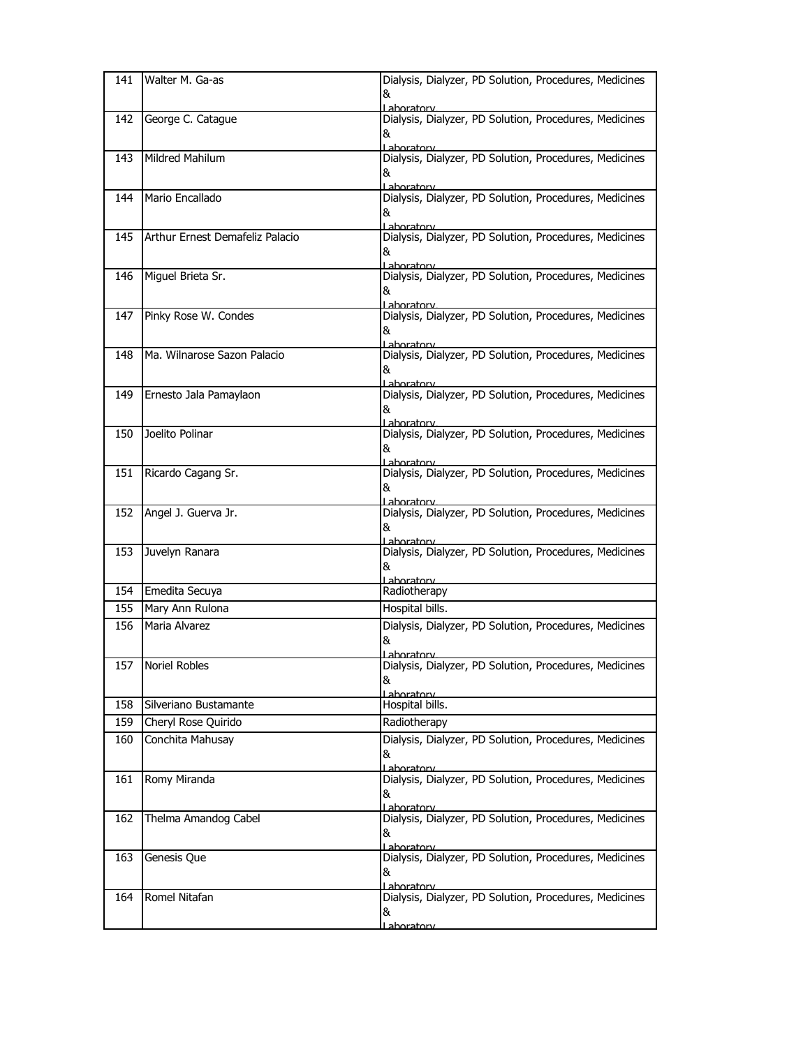| 141 | Walter M. Ga-as                 | Dialysis, Dialyzer, PD Solution, Procedures, Medicines<br>&                             |
|-----|---------------------------------|-----------------------------------------------------------------------------------------|
|     |                                 | Laboratory                                                                              |
| 142 | George C. Catague               | Dialysis, Dialyzer, PD Solution, Procedures, Medicines<br>&<br>Laboratory               |
| 143 | Mildred Mahilum                 | Dialysis, Dialyzer, PD Solution, Procedures, Medicines<br>&                             |
| 144 | Mario Encallado                 | Laboratory<br>Dialysis, Dialyzer, PD Solution, Procedures, Medicines<br>&               |
| 145 | Arthur Ernest Demafeliz Palacio | Laboratory<br>Dialysis, Dialyzer, PD Solution, Procedures, Medicines<br>&<br>Laboratory |
| 146 | Miguel Brieta Sr.               | Dialysis, Dialyzer, PD Solution, Procedures, Medicines<br>&<br>Laboratory               |
| 147 | Pinky Rose W. Condes            | Dialysis, Dialyzer, PD Solution, Procedures, Medicines<br>&<br>Laboratory               |
| 148 | Ma. Wilnarose Sazon Palacio     | Dialysis, Dialyzer, PD Solution, Procedures, Medicines<br>&<br>l aboratory              |
| 149 | Ernesto Jala Pamaylaon          | Dialysis, Dialyzer, PD Solution, Procedures, Medicines<br>&<br>Laboratory               |
| 150 | Joelito Polinar                 | Dialysis, Dialyzer, PD Solution, Procedures, Medicines<br>&                             |
| 151 | Ricardo Cagang Sr.              | Laboratory<br>Dialysis, Dialyzer, PD Solution, Procedures, Medicines<br>&               |
| 152 | Angel J. Guerva Jr.             | Laboratorv<br>Dialysis, Dialyzer, PD Solution, Procedures, Medicines<br>&<br>Laboratory |
| 153 | Juvelyn Ranara                  | Dialysis, Dialyzer, PD Solution, Procedures, Medicines<br>&<br>Laboratory               |
| 154 | Emedita Secuya                  | Radiotherapy                                                                            |
| 155 | Mary Ann Rulona                 | Hospital bills.                                                                         |
| 156 | Maria Alvarez                   | Dialysis, Dialyzer, PD Solution, Procedures, Medicines<br>&<br>aboratory                |
| 157 | <b>Noriel Robles</b>            | Dialysis, Dialyzer, PD Solution, Procedures, Medicines<br>&<br>l aboratory              |
| 158 | Silveriano Bustamante           | Hospital bills.                                                                         |
| 159 | Cheryl Rose Quirido             | Radiotherapy                                                                            |
| 160 | Conchita Mahusay                | Dialysis, Dialyzer, PD Solution, Procedures, Medicines<br>&<br>Laboratory               |
| 161 | Romy Miranda                    | Dialysis, Dialyzer, PD Solution, Procedures, Medicines<br>&<br>l ahoratory              |
| 162 | Thelma Amandog Cabel            | Dialysis, Dialyzer, PD Solution, Procedures, Medicines<br>&<br>Laboratory               |
| 163 | Genesis Que                     | Dialysis, Dialyzer, PD Solution, Procedures, Medicines<br>&<br>Laboratory               |
| 164 | Romel Nitafan                   | Dialysis, Dialyzer, PD Solution, Procedures, Medicines<br>&<br>Laboratorv               |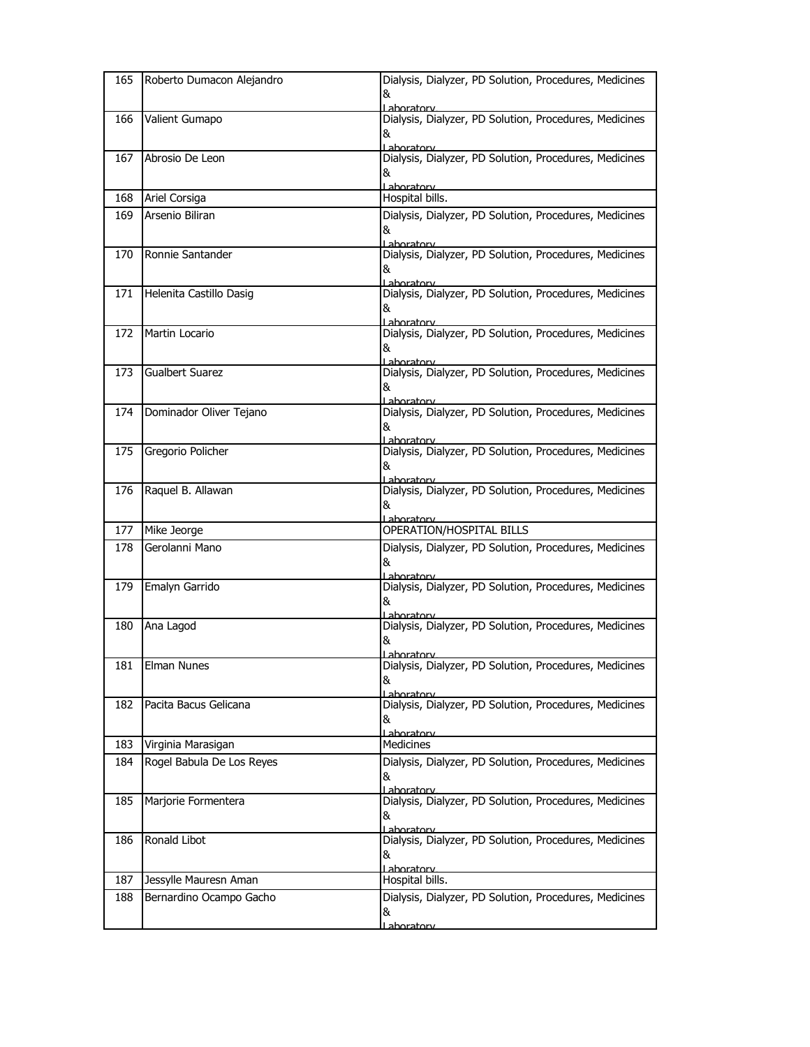| 165 | Roberto Dumacon Alejandro | Dialysis, Dialyzer, PD Solution, Procedures, Medicines<br>&<br>Lahoratory         |
|-----|---------------------------|-----------------------------------------------------------------------------------|
| 166 | Valient Gumapo            | Dialysis, Dialyzer, PD Solution, Procedures, Medicines<br>&<br>I aboratory        |
| 167 | Abrosio De Leon           | Dialysis, Dialyzer, PD Solution, Procedures, Medicines<br>&<br>Laboratory         |
| 168 | Ariel Corsiga             | Hospital bills.                                                                   |
| 169 | Arsenio Biliran           | Dialysis, Dialyzer, PD Solution, Procedures, Medicines<br>&<br>Laboratory         |
| 170 | Ronnie Santander          | Dialysis, Dialyzer, PD Solution, Procedures, Medicines<br>&<br>Laboratory         |
| 171 | Helenita Castillo Dasig   | Dialysis, Dialyzer, PD Solution, Procedures, Medicines<br>&<br>Lahoratory         |
| 172 | Martin Locario            | Dialysis, Dialyzer, PD Solution, Procedures, Medicines<br>&<br>Laboratory         |
| 173 | <b>Gualbert Suarez</b>    | Dialysis, Dialyzer, PD Solution, Procedures, Medicines<br>&<br>Laboratory         |
| 174 | Dominador Oliver Tejano   | Dialysis, Dialyzer, PD Solution, Procedures, Medicines<br>&<br>Laboratory         |
| 175 | Gregorio Policher         | Dialysis, Dialyzer, PD Solution, Procedures, Medicines<br>&<br>l aboratory        |
| 176 | Raquel B. Allawan         | Dialysis, Dialyzer, PD Solution, Procedures, Medicines<br>&<br>Laboratory         |
| 177 | Mike Jeorge               | OPERATION/HOSPITAL BILLS                                                          |
| 178 | Gerolanni Mano            | Dialysis, Dialyzer, PD Solution, Procedures, Medicines<br>&<br>l ahoratorv        |
| 179 | Emalyn Garrido            | Dialysis, Dialyzer, PD Solution, Procedures, Medicines<br>&<br>Laboratory         |
| 180 | Ana Lagod                 | Dialysis, Dialyzer, PD Solution, Procedures, Medicines<br>&<br><u>l aboratorv</u> |
| 181 | Elman Nunes               | Dialysis, Dialyzer, PD Solution, Procedures, Medicines<br>&<br>I aboratory        |
| 182 | Pacita Bacus Gelicana     | Dialysis, Dialyzer, PD Solution, Procedures, Medicines<br>&<br>Laboratory         |
| 183 | Virginia Marasigan        | Medicines                                                                         |
| 184 | Rogel Babula De Los Reyes | Dialysis, Dialyzer, PD Solution, Procedures, Medicines<br>&<br>Lahoratory         |
| 185 | Marjorie Formentera       | Dialysis, Dialyzer, PD Solution, Procedures, Medicines<br>&<br>I aboratory        |
| 186 | Ronald Libot              | Dialysis, Dialyzer, PD Solution, Procedures, Medicines<br>&<br>Laboratory         |
| 187 | Jessylle Mauresn Aman     | Hospital bills.                                                                   |
| 188 | Bernardino Ocampo Gacho   | Dialysis, Dialyzer, PD Solution, Procedures, Medicines<br>&<br><u>Laboratory</u>  |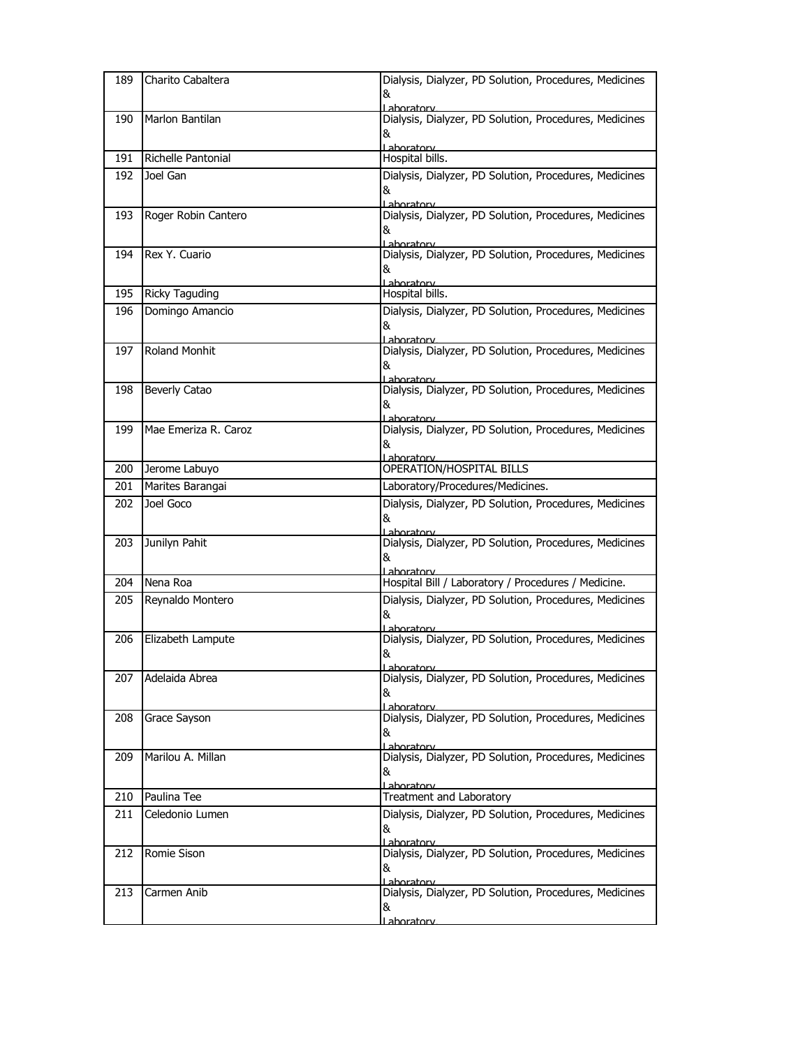| 189 | Charito Cabaltera    | Dialysis, Dialyzer, PD Solution, Procedures, Medicines               |
|-----|----------------------|----------------------------------------------------------------------|
|     |                      | &                                                                    |
| 190 | Marlon Bantilan      | ahoratory<br>Dialysis, Dialyzer, PD Solution, Procedures, Medicines  |
|     |                      | &                                                                    |
|     |                      | Laboratory                                                           |
| 191 | Richelle Pantonial   | Hospital bills.                                                      |
| 192 | Joel Gan             | Dialysis, Dialyzer, PD Solution, Procedures, Medicines               |
|     |                      | &                                                                    |
| 193 | Roger Robin Cantero  | Laboratory<br>Dialysis, Dialyzer, PD Solution, Procedures, Medicines |
|     |                      | &                                                                    |
|     |                      | Lahoratory                                                           |
| 194 | Rex Y. Cuario        | Dialysis, Dialyzer, PD Solution, Procedures, Medicines<br>&          |
|     |                      | Laboratory                                                           |
| 195 | Ricky Taguding       | Hospital bills.                                                      |
| 196 | Domingo Amancio      | Dialysis, Dialyzer, PD Solution, Procedures, Medicines               |
|     |                      | &                                                                    |
| 197 | <b>Roland Monhit</b> | Lahoratory<br>Dialysis, Dialyzer, PD Solution, Procedures, Medicines |
|     |                      | &                                                                    |
|     |                      | l aboratory                                                          |
| 198 | <b>Beverly Catao</b> | Dialysis, Dialyzer, PD Solution, Procedures, Medicines               |
|     |                      | &<br>Laboratorv                                                      |
| 199 | Mae Emeriza R. Caroz | Dialysis, Dialyzer, PD Solution, Procedures, Medicines               |
|     |                      | &                                                                    |
|     |                      | Laboratory                                                           |
| 200 | Jerome Labuyo        | OPERATION/HOSPITAL BILLS                                             |
| 201 | Marites Barangai     | Laboratory/Procedures/Medicines.                                     |
| 202 | Joel Goco            | Dialysis, Dialyzer, PD Solution, Procedures, Medicines               |
|     |                      | &<br>Laboratorv                                                      |
| 203 | Junilyn Pahit        | Dialysis, Dialyzer, PD Solution, Procedures, Medicines               |
|     |                      | &                                                                    |
| 204 | Nena Roa             | Lahoratory<br>Hospital Bill / Laboratory / Procedures / Medicine.    |
| 205 | Reynaldo Montero     | Dialysis, Dialyzer, PD Solution, Procedures, Medicines               |
|     |                      | &                                                                    |
|     |                      | Laboratory                                                           |
| 206 | Elizabeth Lampute    | Dialysis, Dialyzer, PD Solution, Procedures, Medicines               |
|     |                      | &<br><u>Laboratory</u>                                               |
| 207 | Adelaida Abrea       | Dialysis, Dialyzer, PD Solution, Procedures, Medicines               |
|     |                      | &                                                                    |
| 208 | Grace Sayson         | Laboratory<br>Dialysis, Dialyzer, PD Solution, Procedures, Medicines |
|     |                      | &                                                                    |
|     |                      |                                                                      |
| 209 |                      | Lahoratory                                                           |
|     | Marilou A. Millan    | Dialysis, Dialyzer, PD Solution, Procedures, Medicines               |
|     |                      | &                                                                    |
| 210 | Paulina Tee          | Laboratory<br>Treatment and Laboratory                               |
| 211 | Celedonio Lumen      |                                                                      |
|     |                      | Dialysis, Dialyzer, PD Solution, Procedures, Medicines<br>&          |
|     |                      | <u>Lahoratory</u>                                                    |
| 212 | Romie Sison          | Dialysis, Dialyzer, PD Solution, Procedures, Medicines               |
|     |                      | &<br>Laboratory                                                      |
| 213 | Carmen Anib          | Dialysis, Dialyzer, PD Solution, Procedures, Medicines               |
|     |                      | &<br><u>l aboratorv</u>                                              |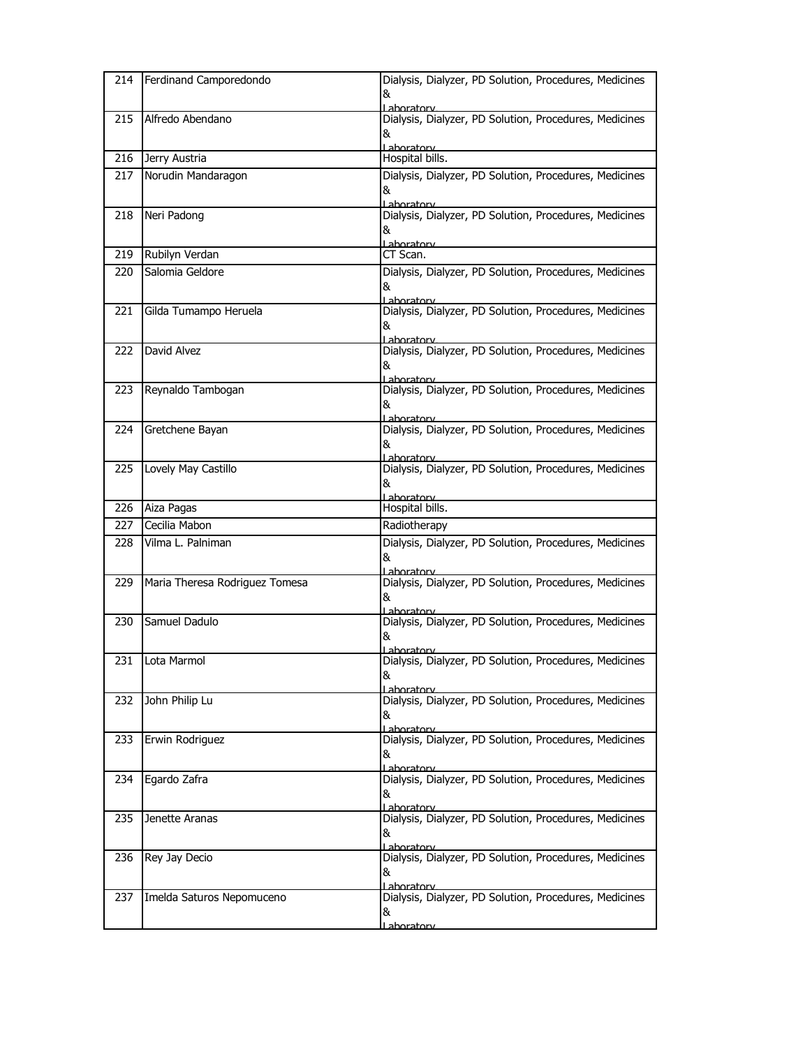| 214 | Ferdinand Camporedondo         | Dialysis, Dialyzer, PD Solution, Procedures, Medicines<br>&<br>ahoratory                                                            |
|-----|--------------------------------|-------------------------------------------------------------------------------------------------------------------------------------|
| 215 | Alfredo Abendano               | Dialysis, Dialyzer, PD Solution, Procedures, Medicines<br>&<br>Laboratory                                                           |
| 216 | Jerry Austria                  | Hospital bills.                                                                                                                     |
| 217 | Norudin Mandaragon             | Dialysis, Dialyzer, PD Solution, Procedures, Medicines<br>&<br>Lahoratory                                                           |
| 218 | Neri Padong                    | Dialysis, Dialyzer, PD Solution, Procedures, Medicines<br>&<br>Laboratory                                                           |
| 219 | Rubilyn Verdan                 | CT Scan.                                                                                                                            |
| 220 | Salomia Geldore                | Dialysis, Dialyzer, PD Solution, Procedures, Medicines<br>&<br>Laboratory                                                           |
| 221 | Gilda Tumampo Heruela          | Dialysis, Dialyzer, PD Solution, Procedures, Medicines<br>&<br>Laboratory                                                           |
| 222 | David Alvez                    | Dialysis, Dialyzer, PD Solution, Procedures, Medicines<br>&<br>Laboratory                                                           |
| 223 | Reynaldo Tambogan              | Dialysis, Dialyzer, PD Solution, Procedures, Medicines<br>&<br>Laboratory                                                           |
| 224 | Gretchene Bayan                | Dialysis, Dialyzer, PD Solution, Procedures, Medicines<br>&<br>Laboratory                                                           |
| 225 | Lovely May Castillo            | Dialysis, Dialyzer, PD Solution, Procedures, Medicines<br>&<br>Laboratory                                                           |
| 226 | Aiza Pagas                     | Hospital bills.                                                                                                                     |
| 227 | Cecilia Mabon                  | Radiotherapy                                                                                                                        |
|     |                                |                                                                                                                                     |
| 228 | Vilma L. Palniman              | Dialysis, Dialyzer, PD Solution, Procedures, Medicines<br>&<br>Laboratory                                                           |
| 229 | Maria Theresa Rodriguez Tomesa | Dialysis, Dialyzer, PD Solution, Procedures, Medicines<br>&<br>Laboratory                                                           |
| 230 | Samuel Dadulo                  | Dialysis, Dialyzer, PD Solution, Procedures, Medicines<br>&                                                                         |
|     | 231 Lota Marmol                | <u>l aboratorv.</u><br>Dialysis, Dialyzer, PD Solution, Procedures, Medicines<br>&                                                  |
| 232 | John Philip Lu                 | Laboratory<br>Dialysis, Dialyzer, PD Solution, Procedures, Medicines<br>&                                                           |
| 233 | Erwin Rodriguez                | Laboratorv<br>Dialysis, Dialyzer, PD Solution, Procedures, Medicines<br>&                                                           |
| 234 | Egardo Zafra                   | Lahoratory<br>Dialysis, Dialyzer, PD Solution, Procedures, Medicines<br>&<br>Lahoratorv                                             |
| 235 | Jenette Aranas                 | Dialysis, Dialyzer, PD Solution, Procedures, Medicines<br>&<br>Laboratory                                                           |
| 236 | Rey Jay Decio                  | Dialysis, Dialyzer, PD Solution, Procedures, Medicines<br>&<br>Laboratorv<br>Dialysis, Dialyzer, PD Solution, Procedures, Medicines |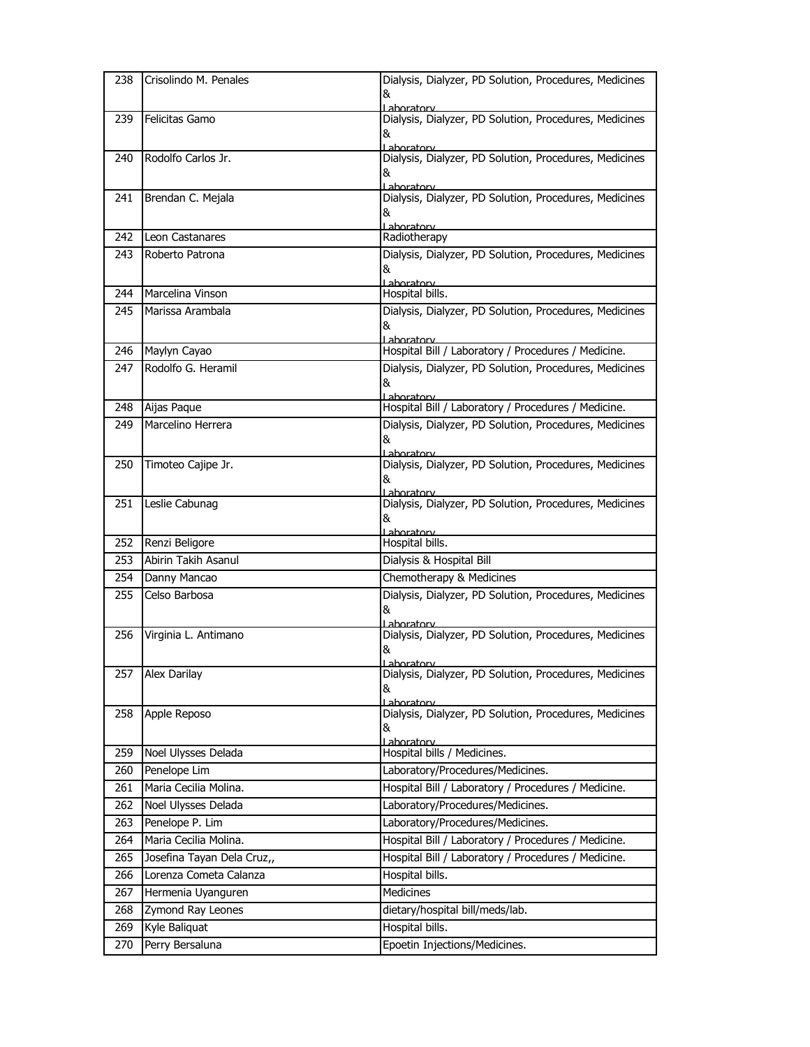| 238 | Crisolindo M. Penales      | Dialysis, Dialyzer, PD Solution, Procedures, Medicines                |
|-----|----------------------------|-----------------------------------------------------------------------|
|     |                            | &                                                                     |
|     |                            | Lahoratory<br>Dialysis, Dialyzer, PD Solution, Procedures, Medicines  |
| 239 | Felicitas Gamo             | &                                                                     |
| 240 | Rodolfo Carlos Jr.         | Laboratory<br>Dialysis, Dialyzer, PD Solution, Procedures, Medicines  |
|     |                            | &                                                                     |
| 241 | Brendan C. Mejala          | Laboratory<br>Dialysis, Dialyzer, PD Solution, Procedures, Medicines  |
|     |                            | &                                                                     |
| 242 | Leon Castanares            | Laboratory<br>Radiotherapy                                            |
| 243 | Roberto Patrona            | Dialysis, Dialyzer, PD Solution, Procedures, Medicines                |
|     |                            | &<br>Laboratory                                                       |
| 244 | Marcelina Vinson           | Hospital bills.                                                       |
| 245 | Marissa Arambala           | Dialysis, Dialyzer, PD Solution, Procedures, Medicines                |
|     |                            | &<br>Laboratory                                                       |
| 246 | Maylyn Cayao               | Hospital Bill / Laboratory / Procedures / Medicine.                   |
| 247 | Rodolfo G. Heramil         | Dialysis, Dialyzer, PD Solution, Procedures, Medicines                |
|     |                            | &                                                                     |
|     |                            | Laboratory<br>Hospital Bill / Laboratory / Procedures / Medicine.     |
| 248 | Aijas Paque                |                                                                       |
| 249 | Marcelino Herrera          | Dialysis, Dialyzer, PD Solution, Procedures, Medicines<br>&           |
| 250 | Timoteo Cajipe Jr.         | l ahoratory<br>Dialysis, Dialyzer, PD Solution, Procedures, Medicines |
|     |                            | &                                                                     |
|     |                            | Laboratory                                                            |
| 251 | Leslie Cabunag             | Dialysis, Dialyzer, PD Solution, Procedures, Medicines                |
|     |                            | &<br>Laboratory                                                       |
| 252 | Renzi Beligore             | Hospital bills.                                                       |
| 253 | Abirin Takih Asanul        | Dialysis & Hospital Bill                                              |
| 254 | Danny Mancao               | Chemotherapy & Medicines                                              |
| 255 | Celso Barbosa              | Dialysis, Dialyzer, PD Solution, Procedures, Medicines                |
|     |                            | &<br>Lahoratory                                                       |
| 256 | Virginia L. Antimano       | Dialysis, Dialyzer, PD Solution, Procedures, Medicines                |
|     |                            | &                                                                     |
| 257 | Alex Darilay               | l ahoratorv<br>Dialysis, Dialyzer, PD Solution, Procedures, Medicines |
|     |                            | &<br>Laboratory                                                       |
| 258 | Apple Reposo               | Dialysis, Dialyzer, PD Solution, Procedures, Medicines                |
|     |                            | &                                                                     |
|     | Noel Ulysses Delada        | Laboratory<br>Hospital bills / Medicines.                             |
| 259 |                            |                                                                       |
| 260 | Penelope Lim               | Laboratory/Procedures/Medicines.                                      |
| 261 | Maria Cecilia Molina.      | Hospital Bill / Laboratory / Procedures / Medicine.                   |
| 262 | Noel Ulysses Delada        | Laboratory/Procedures/Medicines.                                      |
| 263 | Penelope P. Lim            | Laboratory/Procedures/Medicines.                                      |
|     | Maria Cecilia Molina.      | Hospital Bill / Laboratory / Procedures / Medicine.                   |
| 264 | Josefina Tayan Dela Cruz,, | Hospital Bill / Laboratory / Procedures / Medicine.                   |
| 265 | Lorenza Cometa Calanza     |                                                                       |
| 266 |                            | Hospital bills.                                                       |
| 267 | Hermenia Uyanguren         | Medicines                                                             |
| 268 | Zymond Ray Leones          | dietary/hospital bill/meds/lab.                                       |
| 269 | Kyle Baliquat              | Hospital bills.                                                       |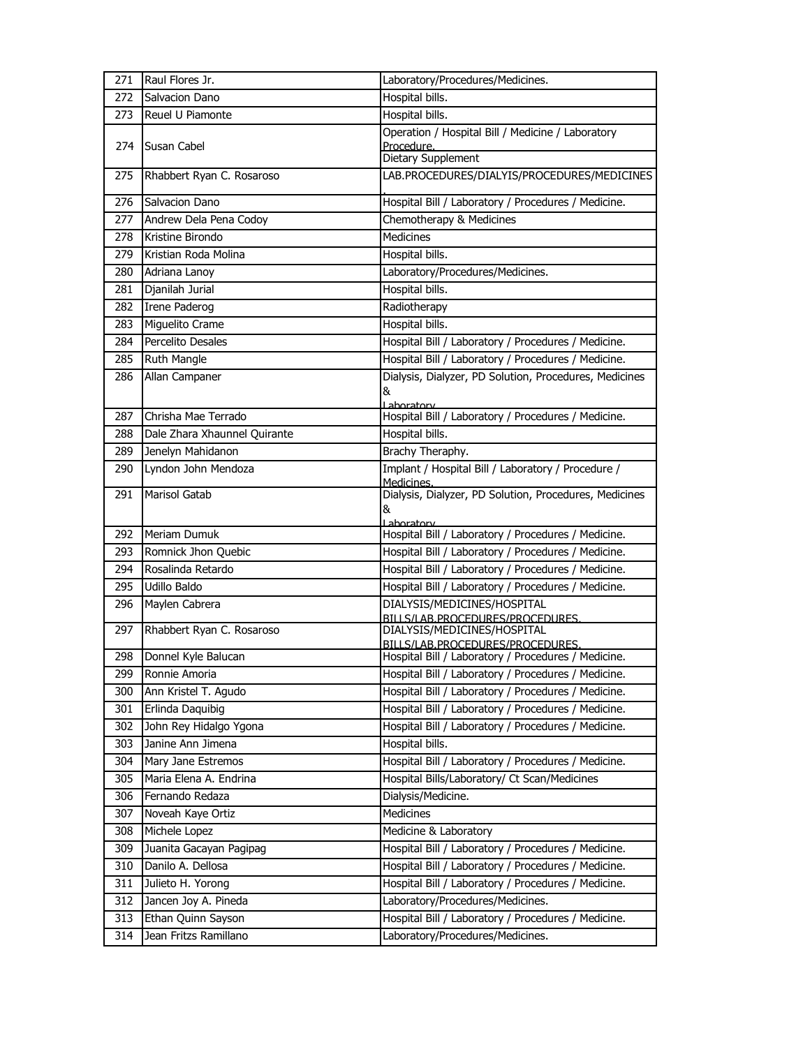| 271 | Raul Flores Jr.              | Laboratory/Procedures/Medicines.                                 |
|-----|------------------------------|------------------------------------------------------------------|
| 272 | Salvacion Dano               | Hospital bills.                                                  |
| 273 | Reuel U Piamonte             | Hospital bills.                                                  |
| 274 |                              | Operation / Hospital Bill / Medicine / Laboratory                |
|     | Susan Cabel                  | Procedure.<br>Dietary Supplement                                 |
| 275 | Rhabbert Ryan C. Rosaroso    | LAB.PROCEDURES/DIALYIS/PROCEDURES/MEDICINES                      |
| 276 | Salvacion Dano               | Hospital Bill / Laboratory / Procedures / Medicine.              |
| 277 | Andrew Dela Pena Codoy       | Chemotherapy & Medicines                                         |
| 278 | Kristine Birondo             | <b>Medicines</b>                                                 |
| 279 | Kristian Roda Molina         | Hospital bills.                                                  |
| 280 | Adriana Lanoy                | Laboratory/Procedures/Medicines.                                 |
| 281 | Djanilah Jurial              | Hospital bills.                                                  |
| 282 | <b>Irene Paderog</b>         | Radiotherapy                                                     |
| 283 | Miguelito Crame              | Hospital bills.                                                  |
| 284 | Percelito Desales            | Hospital Bill / Laboratory / Procedures / Medicine.              |
| 285 | Ruth Mangle                  | Hospital Bill / Laboratory / Procedures / Medicine.              |
| 286 | Allan Campaner               | Dialysis, Dialyzer, PD Solution, Procedures, Medicines<br>&      |
|     |                              | Laboratory                                                       |
| 287 | Chrisha Mae Terrado          | Hospital Bill / Laboratory / Procedures / Medicine.              |
| 288 | Dale Zhara Xhaunnel Quirante | Hospital bills.                                                  |
| 289 | Jenelyn Mahidanon            | Brachy Theraphy.                                                 |
| 290 | Lyndon John Mendoza          | Implant / Hospital Bill / Laboratory / Procedure /<br>Medicines. |
| 291 | <b>Marisol Gatab</b>         | Dialysis, Dialyzer, PD Solution, Procedures, Medicines<br>&      |
|     |                              | Laboratory                                                       |
| 292 | Meriam Dumuk                 | Hospital Bill / Laboratory / Procedures / Medicine.              |
| 293 | Romnick Jhon Quebic          | Hospital Bill / Laboratory / Procedures / Medicine.              |
| 294 | Rosalinda Retardo            | Hospital Bill / Laboratory / Procedures / Medicine.              |
| 295 | Udillo Baldo                 | Hospital Bill / Laboratory / Procedures / Medicine.              |
| 296 | Maylen Cabrera               | DIALYSIS/MEDICINES/HOSPITAL<br>BILLS/LAB.PROCEDURES/PROCEDURES.  |
| 297 | Rhabbert Ryan C. Rosaroso    | DIALYSIS/MEDICINES/HOSPITAL<br>BILLS/LAB.PROCEDURES/PROCEDURES.  |
| 298 | Donnel Kyle Balucan          | Hospital Bill / Laboratory / Procedures / Medicine.              |
| 299 | Ronnie Amoria                | Hospital Bill / Laboratory / Procedures / Medicine.              |
| 300 | Ann Kristel T. Agudo         | Hospital Bill / Laboratory / Procedures / Medicine.              |
| 301 | Erlinda Daquibig             | Hospital Bill / Laboratory / Procedures / Medicine.              |
| 302 | John Rey Hidalgo Ygona       | Hospital Bill / Laboratory / Procedures / Medicine.              |
| 303 | Janine Ann Jimena            | Hospital bills.                                                  |
| 304 | Mary Jane Estremos           | Hospital Bill / Laboratory / Procedures / Medicine.              |
| 305 | Maria Elena A. Endrina       | Hospital Bills/Laboratory/ Ct Scan/Medicines                     |
| 306 | Fernando Redaza              | Dialysis/Medicine.                                               |
| 307 | Noveah Kaye Ortiz            | Medicines                                                        |
| 308 | Michele Lopez                | Medicine & Laboratory                                            |
| 309 | Juanita Gacayan Pagipag      | Hospital Bill / Laboratory / Procedures / Medicine.              |
| 310 | Danilo A. Dellosa            | Hospital Bill / Laboratory / Procedures / Medicine.              |
| 311 | Julieto H. Yorong            | Hospital Bill / Laboratory / Procedures / Medicine.              |
| 312 | Jancen Joy A. Pineda         | Laboratory/Procedures/Medicines.                                 |
| 313 | Ethan Quinn Sayson           | Hospital Bill / Laboratory / Procedures / Medicine.              |
| 314 | Jean Fritzs Ramillano        | Laboratory/Procedures/Medicines.                                 |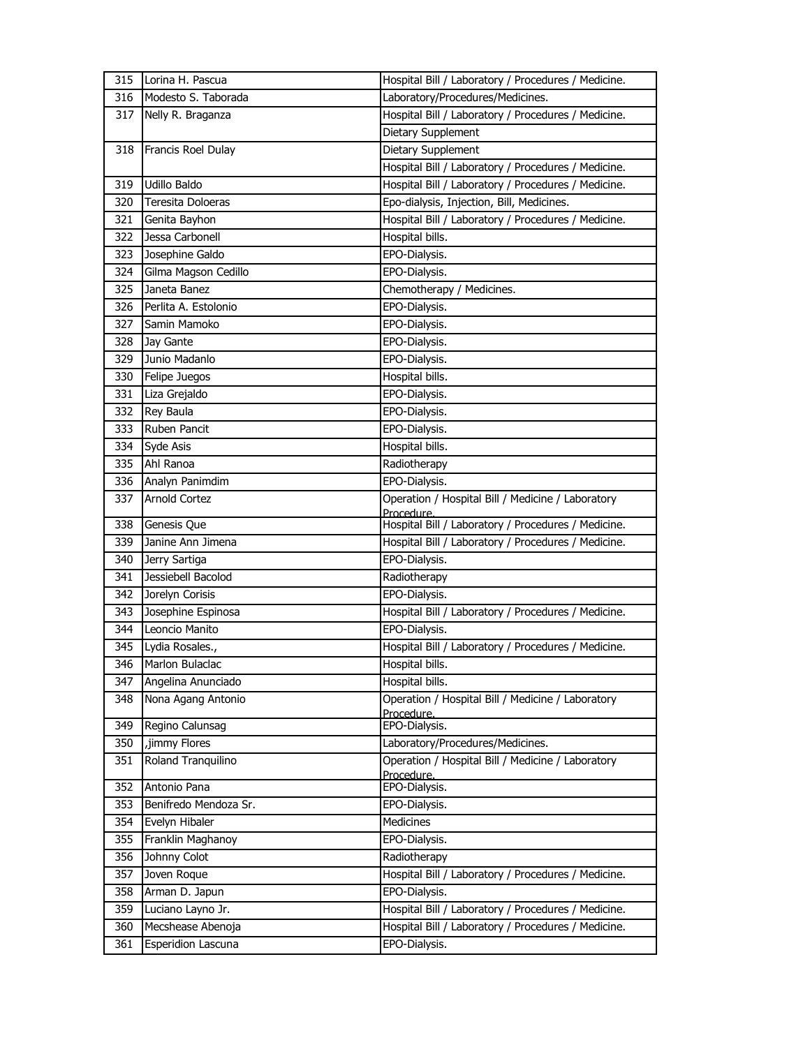| 315 | Lorina H. Pascua      | Hospital Bill / Laboratory / Procedures / Medicine. |
|-----|-----------------------|-----------------------------------------------------|
| 316 | Modesto S. Taborada   | Laboratory/Procedures/Medicines.                    |
| 317 | Nelly R. Braganza     | Hospital Bill / Laboratory / Procedures / Medicine. |
|     |                       | Dietary Supplement                                  |
| 318 | Francis Roel Dulay    | Dietary Supplement                                  |
|     |                       | Hospital Bill / Laboratory / Procedures / Medicine. |
| 319 | Udillo Baldo          | Hospital Bill / Laboratory / Procedures / Medicine. |
| 320 | Teresita Doloeras     | Epo-dialysis, Injection, Bill, Medicines.           |
| 321 | Genita Bayhon         | Hospital Bill / Laboratory / Procedures / Medicine. |
| 322 | Jessa Carbonell       | Hospital bills.                                     |
| 323 | Josephine Galdo       | EPO-Dialysis.                                       |
| 324 | Gilma Magson Cedillo  | EPO-Dialysis.                                       |
| 325 | Janeta Banez          | Chemotherapy / Medicines.                           |
| 326 | Perlita A. Estolonio  | EPO-Dialysis.                                       |
| 327 | Samin Mamoko          | EPO-Dialysis.                                       |
| 328 | Jay Gante             | EPO-Dialysis.                                       |
| 329 | Junio Madanlo         | EPO-Dialysis.                                       |
| 330 | Felipe Juegos         | Hospital bills.                                     |
| 331 | Liza Grejaldo         | EPO-Dialysis.                                       |
| 332 | Rey Baula             | EPO-Dialysis.                                       |
| 333 | Ruben Pancit          | EPO-Dialysis.                                       |
| 334 | Syde Asis             | Hospital bills.                                     |
| 335 | Ahl Ranoa             | Radiotherapy                                        |
| 336 | Analyn Panimdim       | EPO-Dialysis.                                       |
| 337 | <b>Arnold Cortez</b>  | Operation / Hospital Bill / Medicine / Laboratory   |
|     |                       | Procedure.                                          |
| 338 | Genesis Que           | Hospital Bill / Laboratory / Procedures / Medicine. |
| 339 | Janine Ann Jimena     | Hospital Bill / Laboratory / Procedures / Medicine. |
| 340 | Jerry Sartiga         | EPO-Dialysis.                                       |
| 341 | Jessiebell Bacolod    | Radiotherapy                                        |
| 342 | Jorelyn Corisis       | EPO-Dialysis.                                       |
| 343 | Josephine Espinosa    | Hospital Bill / Laboratory / Procedures / Medicine. |
| 344 | Leoncio Manito        | EPO-Dialysis.                                       |
| 345 | Lydia Rosales.,       | Hospital Bill / Laboratory / Procedures / Medicine. |
| 346 | Marlon Bulaclac       | Hospital bills.                                     |
| 347 | Angelina Anunciado    | Hospital bills.                                     |
| 348 | Nona Agang Antonio    | Operation / Hospital Bill / Medicine / Laboratory   |
| 349 | Regino Calunsag       | Procedure.<br>EPO-Dialysis.                         |
| 350 | ,jimmy Flores         | Laboratory/Procedures/Medicines.                    |
| 351 | Roland Tranquilino    | Operation / Hospital Bill / Medicine / Laboratory   |
|     |                       | Procedure.                                          |
| 352 | Antonio Pana          | EPO-Dialysis.                                       |
| 353 | Benifredo Mendoza Sr. | EPO-Dialysis.                                       |
| 354 | Evelyn Hibaler        | Medicines                                           |
| 355 | Franklin Maghanoy     | EPO-Dialysis.                                       |
| 356 | Johnny Colot          | Radiotherapy                                        |
| 357 | Joven Roque           | Hospital Bill / Laboratory / Procedures / Medicine. |
| 358 | Arman D. Japun        | EPO-Dialysis.                                       |
| 359 | Luciano Layno Jr.     | Hospital Bill / Laboratory / Procedures / Medicine. |
| 360 | Mecshease Abenoja     | Hospital Bill / Laboratory / Procedures / Medicine. |
| 361 | Esperidion Lascuna    | EPO-Dialysis.                                       |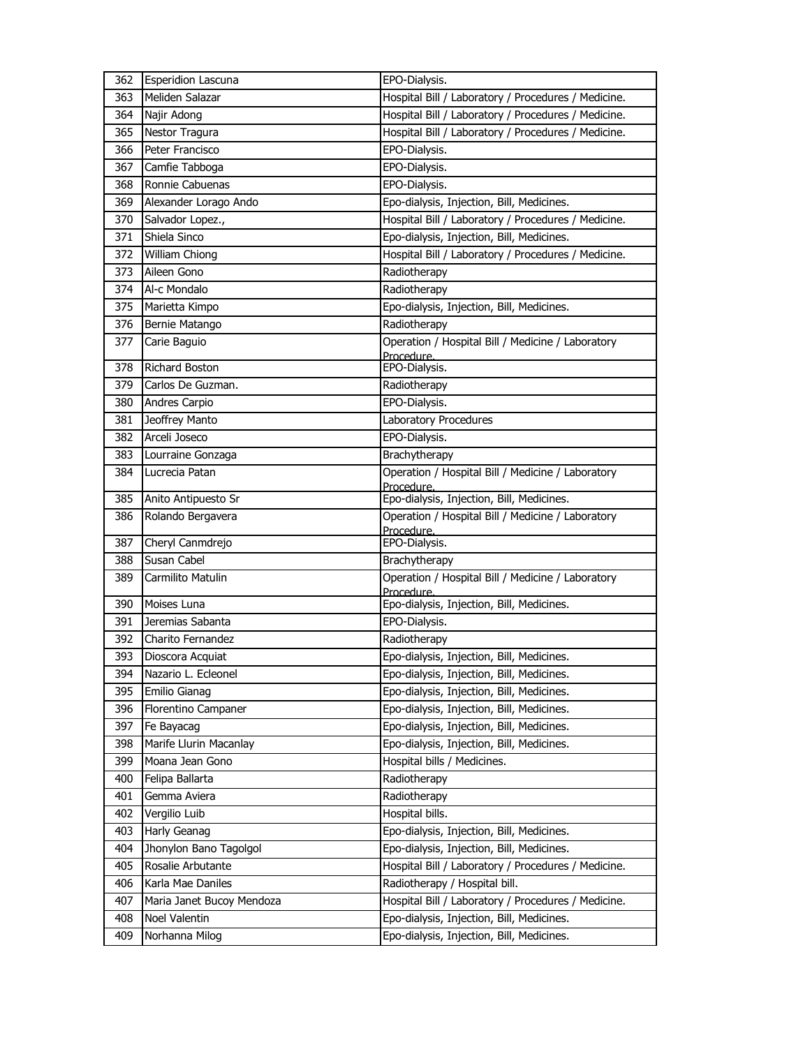| 362 | Esperidion Lascuna                  | EPO-Dialysis.                                                   |
|-----|-------------------------------------|-----------------------------------------------------------------|
| 363 | Meliden Salazar                     | Hospital Bill / Laboratory / Procedures / Medicine.             |
| 364 | Najir Adong                         | Hospital Bill / Laboratory / Procedures / Medicine.             |
| 365 | Nestor Tragura                      | Hospital Bill / Laboratory / Procedures / Medicine.             |
| 366 | Peter Francisco                     | EPO-Dialysis.                                                   |
| 367 | Camfie Tabboga                      | EPO-Dialysis.                                                   |
| 368 | Ronnie Cabuenas                     | EPO-Dialysis.                                                   |
| 369 | Alexander Lorago Ando               | Epo-dialysis, Injection, Bill, Medicines.                       |
| 370 | Salvador Lopez.,                    | Hospital Bill / Laboratory / Procedures / Medicine.             |
| 371 | Shiela Sinco                        | Epo-dialysis, Injection, Bill, Medicines.                       |
| 372 | William Chiong                      | Hospital Bill / Laboratory / Procedures / Medicine.             |
| 373 | Aileen Gono                         | Radiotherapy                                                    |
| 374 | Al-c Mondalo                        | Radiotherapy                                                    |
| 375 | Marietta Kimpo                      | Epo-dialysis, Injection, Bill, Medicines.                       |
| 376 | Bernie Matango                      | Radiotherapy                                                    |
| 377 | Carie Baguio                        | Operation / Hospital Bill / Medicine / Laboratory               |
|     |                                     | Procedure.                                                      |
| 378 | Richard Boston<br>Carlos De Guzman. | EPO-Dialysis.                                                   |
| 379 |                                     | Radiotherapy                                                    |
| 380 | Andres Carpio                       | EPO-Dialysis.                                                   |
| 381 | Jeoffrey Manto                      | Laboratory Procedures                                           |
| 382 | Arceli Joseco                       | EPO-Dialysis.                                                   |
| 383 | Lourraine Gonzaga                   | Brachytherapy                                                   |
| 384 | Lucrecia Patan                      | Operation / Hospital Bill / Medicine / Laboratory<br>Procedure. |
| 385 | Anito Antipuesto Sr                 | Epo-dialysis, Injection, Bill, Medicines.                       |
|     |                                     |                                                                 |
| 386 | Rolando Bergavera                   | Operation / Hospital Bill / Medicine / Laboratory               |
|     |                                     | Procedure.                                                      |
| 387 | Cheryl Canmdrejo                    | EPO-Dialysis.                                                   |
| 388 | Susan Cabel                         | Brachytherapy                                                   |
| 389 | Carmilito Matulin                   | Operation / Hospital Bill / Medicine / Laboratory<br>Procedure. |
| 390 | Moises Luna                         | Epo-dialysis, Injection, Bill, Medicines.                       |
| 391 | Jeremias Sabanta                    | EPO-Dialysis.                                                   |
| 392 | Charito Fernandez                   | Radiotherapy                                                    |
| 393 | Dioscora Acquiat                    | Epo-dialysis, Injection, Bill, Medicines.                       |
| 394 | Nazario L. Ecleonel                 | Epo-dialysis, Injection, Bill, Medicines.                       |
| 395 | Emilio Gianag                       | Epo-dialysis, Injection, Bill, Medicines.                       |
| 396 | Florentino Campaner                 | Epo-dialysis, Injection, Bill, Medicines.                       |
| 397 | Fe Bayacag                          | Epo-dialysis, Injection, Bill, Medicines.                       |
| 398 | Marife Llurin Macanlay              | Epo-dialysis, Injection, Bill, Medicines.                       |
| 399 | Moana Jean Gono                     | Hospital bills / Medicines.                                     |
| 400 | Felipa Ballarta                     | Radiotherapy                                                    |
| 401 | Gemma Aviera                        | Radiotherapy                                                    |
| 402 | Vergilio Luib                       | Hospital bills.                                                 |
| 403 | Harly Geanag                        | Epo-dialysis, Injection, Bill, Medicines.                       |
| 404 | Jhonylon Bano Tagolgol              | Epo-dialysis, Injection, Bill, Medicines.                       |
| 405 | Rosalie Arbutante                   | Hospital Bill / Laboratory / Procedures / Medicine.             |
| 406 | Karla Mae Daniles                   | Radiotherapy / Hospital bill.                                   |
| 407 | Maria Janet Bucoy Mendoza           | Hospital Bill / Laboratory / Procedures / Medicine.             |
| 408 | Noel Valentin                       | Epo-dialysis, Injection, Bill, Medicines.                       |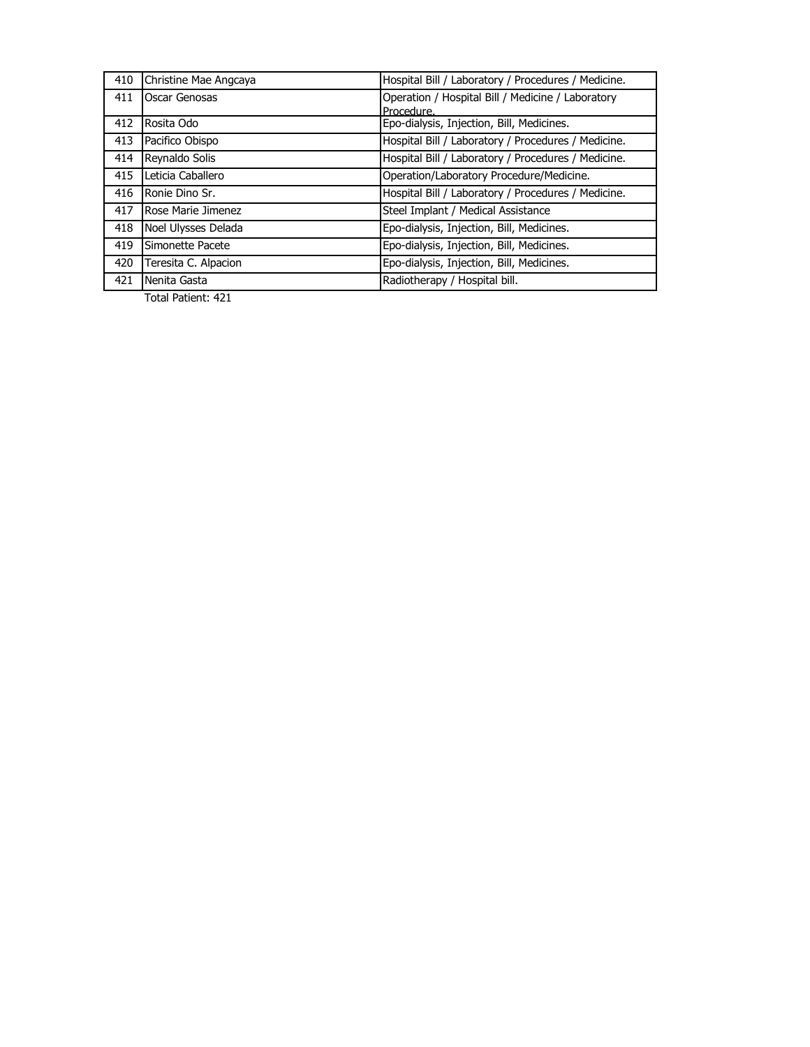| 410 | Christine Mae Angcaya | Hospital Bill / Laboratory / Procedures / Medicine. |
|-----|-----------------------|-----------------------------------------------------|
| 411 | Oscar Genosas         | Operation / Hospital Bill / Medicine / Laboratory   |
|     |                       | Procedure.                                          |
| 412 | Rosita Odo            | Epo-dialysis, Injection, Bill, Medicines.           |
| 413 | Pacifico Obispo       | Hospital Bill / Laboratory / Procedures / Medicine. |
| 414 | Reynaldo Solis        | Hospital Bill / Laboratory / Procedures / Medicine. |
| 415 | Leticia Caballero     | Operation/Laboratory Procedure/Medicine.            |
| 416 | Ronie Dino Sr.        | Hospital Bill / Laboratory / Procedures / Medicine. |
| 417 | Rose Marie Jimenez    | Steel Implant / Medical Assistance                  |
| 418 | Noel Ulysses Delada   | Epo-dialysis, Injection, Bill, Medicines.           |
| 419 | Simonette Pacete      | Epo-dialysis, Injection, Bill, Medicines.           |
| 420 | Teresita C. Alpacion  | Epo-dialysis, Injection, Bill, Medicines.           |
| 421 | Nenita Gasta          | Radiotherapy / Hospital bill.                       |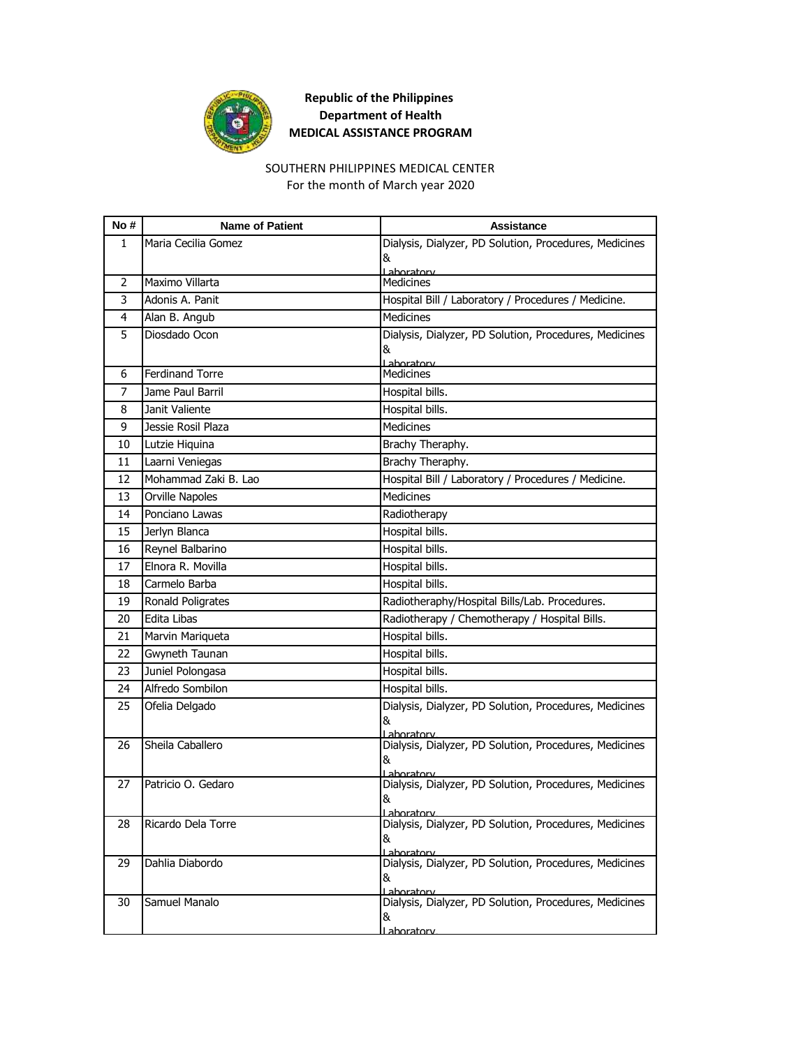

# SOUTHERN PHILIPPINES MEDICAL CENTER

For the month of March year 2020

| No#            | <b>Name of Patient</b> | <b>Assistance</b>                                                    |
|----------------|------------------------|----------------------------------------------------------------------|
| 1              | Maria Cecilia Gomez    | Dialysis, Dialyzer, PD Solution, Procedures, Medicines               |
|                |                        | &                                                                    |
| 2              | Maximo Villarta        | Laboratory<br><b>Medicines</b>                                       |
| 3              | Adonis A. Panit        | Hospital Bill / Laboratory / Procedures / Medicine.                  |
| 4              | Alan B. Angub          | Medicines                                                            |
| 5              | Diosdado Ocon          | Dialysis, Dialyzer, PD Solution, Procedures, Medicines               |
|                |                        | &                                                                    |
| 6              | <b>Ferdinand Torre</b> | Laboratory<br><b>Medicines</b>                                       |
| $\overline{7}$ | Jame Paul Barril       | Hospital bills.                                                      |
| 8              | Janit Valiente         | Hospital bills.                                                      |
| 9              | Jessie Rosil Plaza     | <b>Medicines</b>                                                     |
| 10             | Lutzie Hiquina         | Brachy Theraphy.                                                     |
| 11             | Laarni Veniegas        | Brachy Theraphy.                                                     |
| 12             | Mohammad Zaki B. Lao   | Hospital Bill / Laboratory / Procedures / Medicine.                  |
| 13             | <b>Orville Napoles</b> | <b>Medicines</b>                                                     |
| 14             | Ponciano Lawas         | Radiotherapy                                                         |
| 15             | Jerlyn Blanca          | Hospital bills.                                                      |
| 16             | Reynel Balbarino       | Hospital bills.                                                      |
| 17             | Elnora R. Movilla      | Hospital bills.                                                      |
| 18             | Carmelo Barba          | Hospital bills.                                                      |
| 19             | Ronald Poligrates      | Radiotheraphy/Hospital Bills/Lab. Procedures.                        |
| 20             | <b>Edita Libas</b>     | Radiotherapy / Chemotherapy / Hospital Bills.                        |
| 21             | Marvin Mariqueta       | Hospital bills.                                                      |
| 22             | Gwyneth Taunan         | Hospital bills.                                                      |
| 23             | Juniel Polongasa       | Hospital bills.                                                      |
| 24             | Alfredo Sombilon       | Hospital bills.                                                      |
| 25             | Ofelia Delgado         | Dialysis, Dialyzer, PD Solution, Procedures, Medicines               |
|                |                        | &<br>Laboratory                                                      |
| 26             | Sheila Caballero       | Dialysis, Dialyzer, PD Solution, Procedures, Medicines               |
|                |                        | &                                                                    |
| 27             | Patricio O. Gedaro     | Lahoratory<br>Dialysis, Dialyzer, PD Solution, Procedures, Medicines |
|                |                        | &                                                                    |
| 28             | Ricardo Dela Torre     | Dialysis, Dialyzer, PD Solution, Procedures, Medicines               |
|                |                        | &                                                                    |
|                |                        | Laboratory                                                           |
| 29             | Dahlia Diabordo        | Dialysis, Dialyzer, PD Solution, Procedures, Medicines               |
|                |                        | &<br>Lahoratory                                                      |
| 30             | Samuel Manalo          | Dialysis, Dialyzer, PD Solution, Procedures, Medicines               |
|                |                        | &                                                                    |
|                |                        | <u>Laboratory</u>                                                    |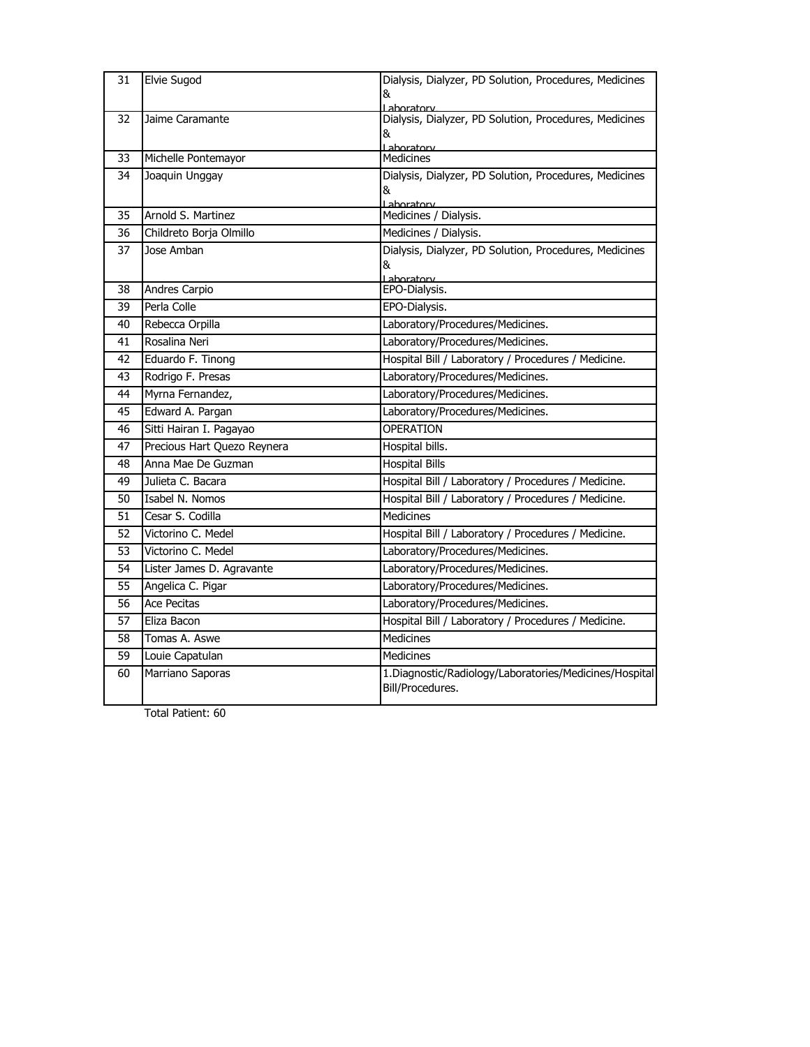| 31 | <b>Elvie Sugod</b>          | Dialysis, Dialyzer, PD Solution, Procedures, Medicines<br>&                       |
|----|-----------------------------|-----------------------------------------------------------------------------------|
| 32 | Jaime Caramante             | Laboratorv<br>Dialysis, Dialyzer, PD Solution, Procedures, Medicines<br>&         |
| 33 | Michelle Pontemayor         | Laboratory<br>Medicines                                                           |
| 34 | Joaquin Unggay              | Dialysis, Dialyzer, PD Solution, Procedures, Medicines<br>&<br>Laboratory         |
| 35 | Arnold S. Martinez          | Medicines / Dialysis.                                                             |
| 36 | Childreto Borja Olmillo     | Medicines / Dialysis.                                                             |
| 37 | Jose Amban                  | Dialysis, Dialyzer, PD Solution, Procedures, Medicines<br>&<br><u>l aboratory</u> |
| 38 | Andres Carpio               | EPO-Dialysis.                                                                     |
| 39 | Perla Colle                 | EPO-Dialysis.                                                                     |
| 40 | Rebecca Orpilla             | Laboratory/Procedures/Medicines.                                                  |
| 41 | Rosalina Neri               | Laboratory/Procedures/Medicines.                                                  |
| 42 | Eduardo F. Tinong           | Hospital Bill / Laboratory / Procedures / Medicine.                               |
| 43 | Rodrigo F. Presas           | Laboratory/Procedures/Medicines.                                                  |
| 44 | Myrna Fernandez,            | Laboratory/Procedures/Medicines.                                                  |
| 45 | Edward A. Pargan            | Laboratory/Procedures/Medicines.                                                  |
| 46 | Sitti Hairan I. Pagayao     | <b>OPERATION</b>                                                                  |
| 47 | Precious Hart Quezo Reynera | Hospital bills.                                                                   |
| 48 | Anna Mae De Guzman          | <b>Hospital Bills</b>                                                             |
| 49 | Julieta C. Bacara           | Hospital Bill / Laboratory / Procedures / Medicine.                               |
| 50 | Isabel N. Nomos             | Hospital Bill / Laboratory / Procedures / Medicine.                               |
| 51 | Cesar S. Codilla            | Medicines                                                                         |
| 52 | Victorino C. Medel          | Hospital Bill / Laboratory / Procedures / Medicine.                               |
| 53 | Victorino C. Medel          | Laboratory/Procedures/Medicines.                                                  |
| 54 | Lister James D. Agravante   | Laboratory/Procedures/Medicines.                                                  |
| 55 | Angelica C. Pigar           | Laboratory/Procedures/Medicines.                                                  |
| 56 | <b>Ace Pecitas</b>          | Laboratory/Procedures/Medicines.                                                  |
| 57 | Eliza Bacon                 | Hospital Bill / Laboratory / Procedures / Medicine.                               |
| 58 | Tomas A. Aswe               | <b>Medicines</b>                                                                  |
| 59 | Louie Capatulan             | Medicines                                                                         |
| 60 | Marriano Saporas            | 1. Diagnostic/Radiology/Laboratories/Medicines/Hospital<br>Bill/Procedures.       |
|    |                             |                                                                                   |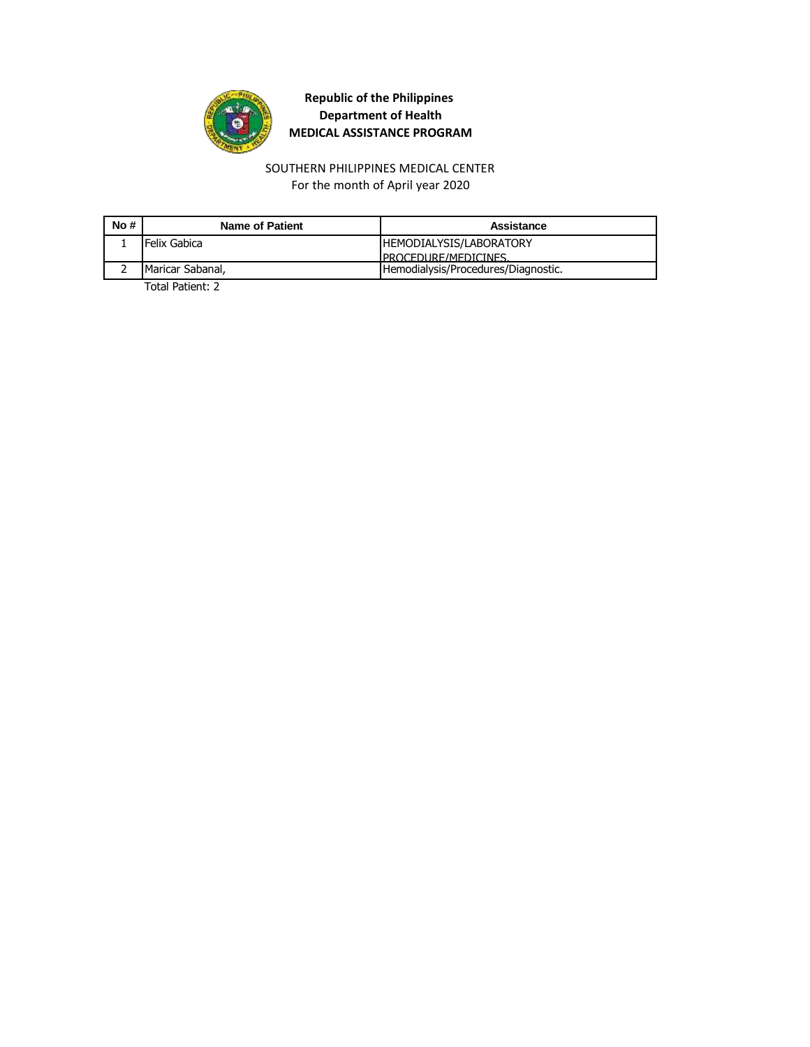

#### SOUTHERN PHILIPPINES MEDICAL CENTER For the month of April year 2020

| No# | <b>Name of Patient</b> | Assistance                          |
|-----|------------------------|-------------------------------------|
|     | Felix Gabica           | <b>IHEMODIALYSIS/LABORATORY</b>     |
|     |                        | <b>IPROCEDURE/MEDICINES</b>         |
|     | Maricar Sabanal,       | Hemodialysis/Procedures/Diagnostic. |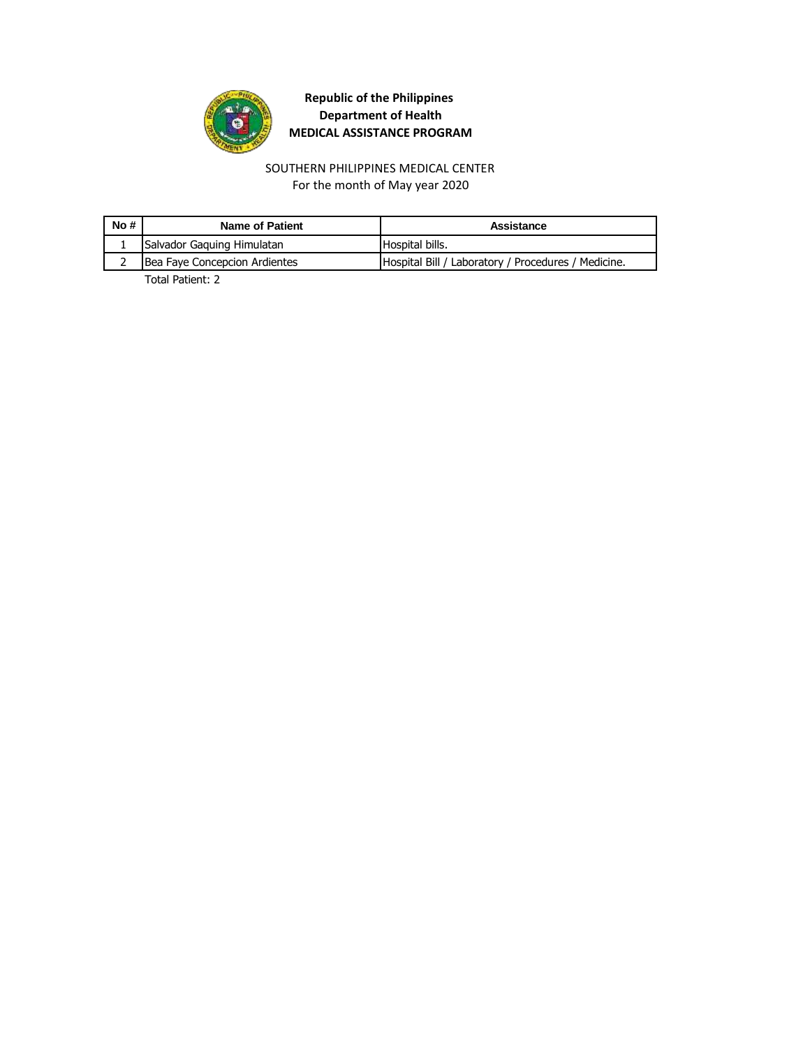

For the month of May year 2020 SOUTHERN PHILIPPINES MEDICAL CENTER

| No # | Name of Patient               | Assistance                                          |
|------|-------------------------------|-----------------------------------------------------|
|      | Salvador Gaguing Himulatan    | Hospital bills.                                     |
|      | Bea Faye Concepcion Ardientes | Hospital Bill / Laboratory / Procedures / Medicine. |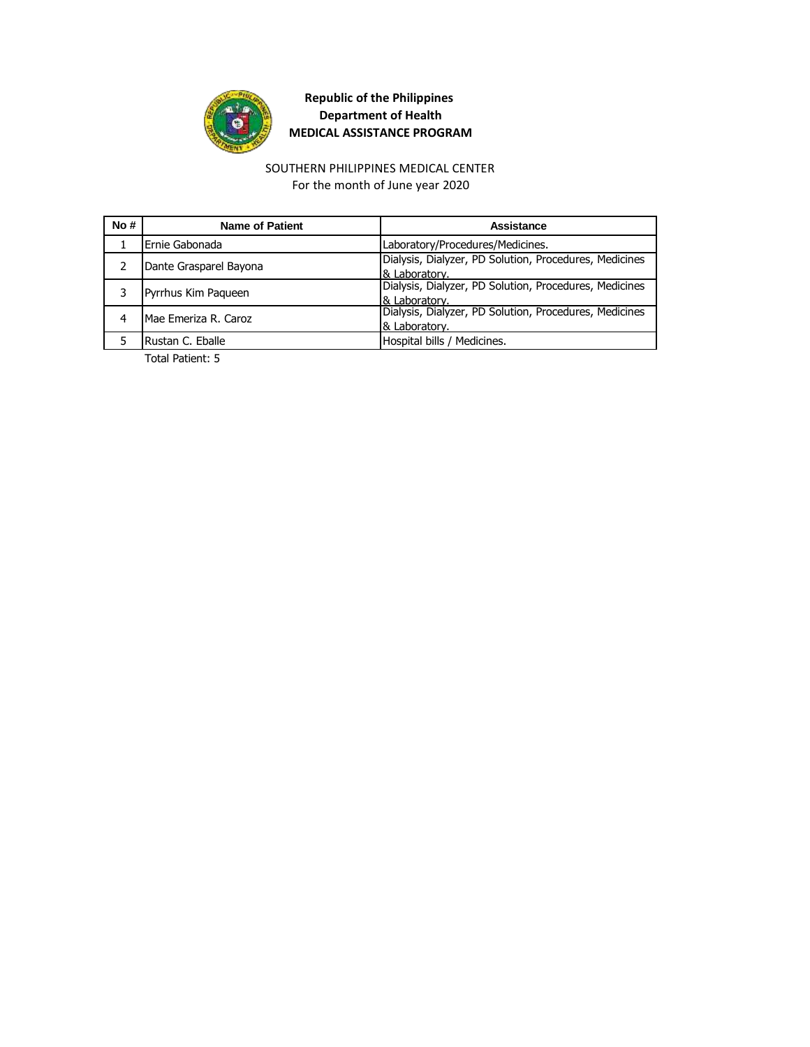

#### SOUTHERN PHILIPPINES MEDICAL CENTER For the month of June year 2020

| No# | <b>Name of Patient</b> | Assistance                                             |
|-----|------------------------|--------------------------------------------------------|
|     | Ernie Gabonada         | Laboratory/Procedures/Medicines.                       |
|     | Dante Grasparel Bayona | Dialysis, Dialyzer, PD Solution, Procedures, Medicines |
|     |                        | & Laboratory.                                          |
|     | Pyrrhus Kim Paqueen    | Dialysis, Dialyzer, PD Solution, Procedures, Medicines |
|     |                        | & Laboratory.                                          |
|     | Mae Emeriza R. Caroz   | Dialysis, Dialyzer, PD Solution, Procedures, Medicines |
|     |                        | & Laboratory.                                          |
|     | Rustan C. Eballe       | Hospital bills / Medicines.                            |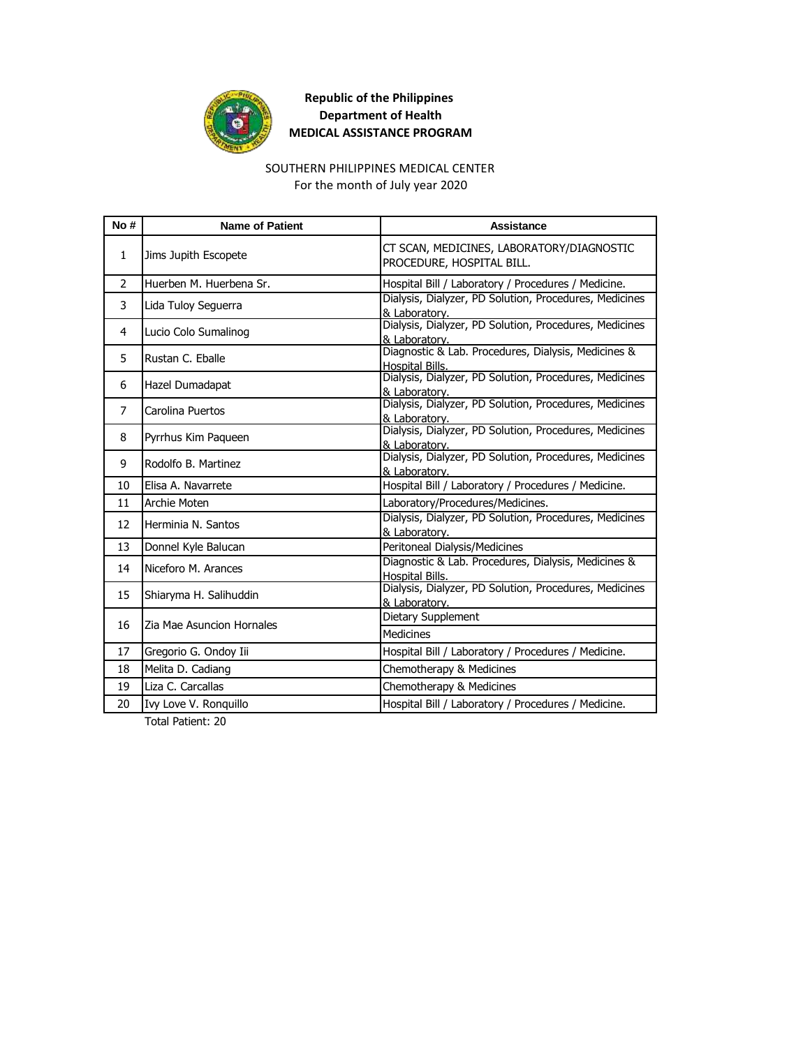

## SOUTHERN PHILIPPINES MEDICAL CENTER

For the month of July year 2020

| No#            | <b>Name of Patient</b>    | Assistance                                                              |
|----------------|---------------------------|-------------------------------------------------------------------------|
| $\mathbf{1}$   | Jims Jupith Escopete      | CT SCAN, MEDICINES, LABORATORY/DIAGNOSTIC<br>PROCEDURE, HOSPITAL BILL.  |
| 2              | Huerben M. Huerbena Sr.   | Hospital Bill / Laboratory / Procedures / Medicine.                     |
| 3              | Lida Tuloy Seguerra       | Dialysis, Dialyzer, PD Solution, Procedures, Medicines<br>& Laboratory. |
| 4              | Lucio Colo Sumalinog      | Dialysis, Dialyzer, PD Solution, Procedures, Medicines<br>& Laboratory. |
| 5              | Rustan C. Eballe          | Diagnostic & Lab. Procedures, Dialysis, Medicines &<br>Hospital Bills.  |
| 6              | Hazel Dumadapat           | Dialysis, Dialyzer, PD Solution, Procedures, Medicines<br>& Laboratory. |
| $\overline{7}$ | Carolina Puertos          | Dialysis, Dialyzer, PD Solution, Procedures, Medicines<br>& Laboratory. |
| 8              | Pyrrhus Kim Paqueen       | Dialysis, Dialyzer, PD Solution, Procedures, Medicines<br>& Laboratory. |
| 9              | Rodolfo B. Martinez       | Dialysis, Dialyzer, PD Solution, Procedures, Medicines<br>& Laboratory. |
| 10             | Elisa A. Navarrete        | Hospital Bill / Laboratory / Procedures / Medicine.                     |
| 11             | <b>Archie Moten</b>       | Laboratory/Procedures/Medicines.                                        |
| 12             | Herminia N. Santos        | Dialysis, Dialyzer, PD Solution, Procedures, Medicines<br>& Laboratory. |
| 13             | Donnel Kyle Balucan       | Peritoneal Dialysis/Medicines                                           |
| 14             | Niceforo M. Arances       | Diagnostic & Lab. Procedures, Dialysis, Medicines &<br>Hospital Bills.  |
| 15             | Shiaryma H. Salihuddin    | Dialysis, Dialyzer, PD Solution, Procedures, Medicines<br>& Laboratory. |
| 16             | Zia Mae Asuncion Hornales | Dietary Supplement                                                      |
|                |                           | <b>Medicines</b>                                                        |
| 17             | Gregorio G. Ondoy Iii     | Hospital Bill / Laboratory / Procedures / Medicine.                     |
| 18             | Melita D. Cadiang         | Chemotherapy & Medicines                                                |
| 19             | Liza C. Carcallas         | Chemotherapy & Medicines                                                |
| 20             | Ivy Love V. Ronguillo     | Hospital Bill / Laboratory / Procedures / Medicine.                     |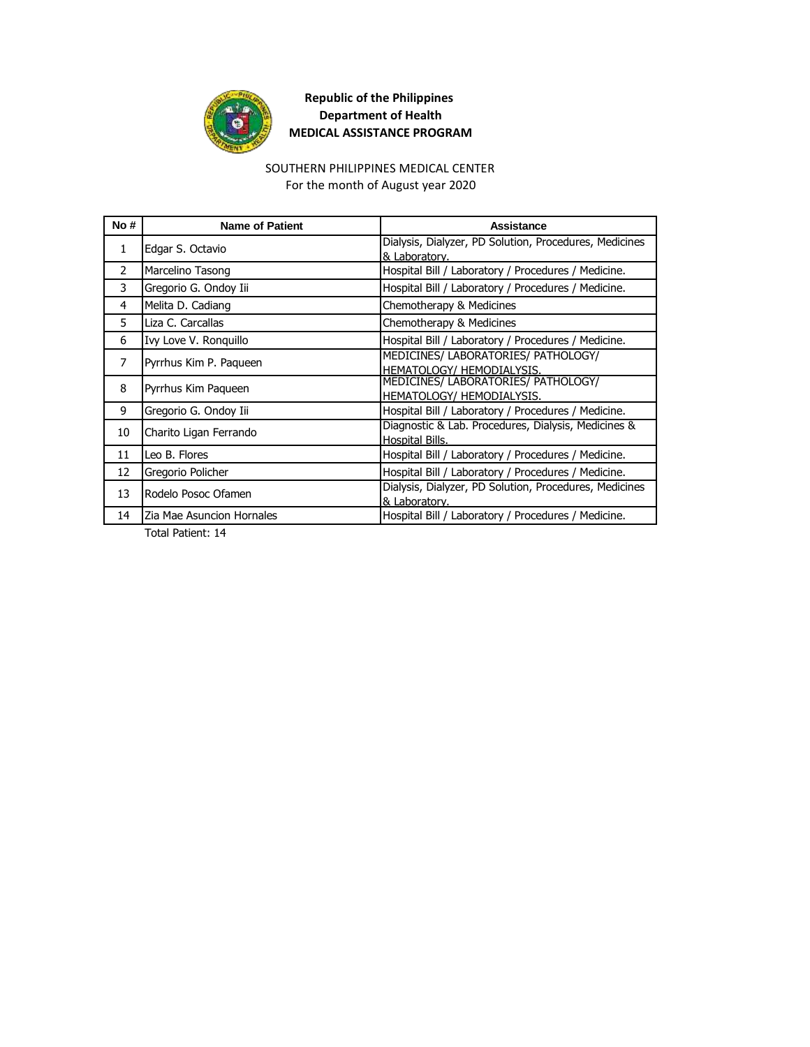

#### SOUTHERN PHILIPPINES MEDICAL CENTER

For the month of August year 2020

| No#            | <b>Name of Patient</b>    | Assistance                                                              |
|----------------|---------------------------|-------------------------------------------------------------------------|
| 1.             | Edgar S. Octavio          | Dialysis, Dialyzer, PD Solution, Procedures, Medicines<br>& Laboratory. |
| 2              | Marcelino Tasong          | Hospital Bill / Laboratory / Procedures / Medicine.                     |
| 3              | Gregorio G. Ondoy Iii     | Hospital Bill / Laboratory / Procedures / Medicine.                     |
| 4              | Melita D. Cadiang         | Chemotherapy & Medicines                                                |
| 5.             | Liza C. Carcallas         | Chemotherapy & Medicines                                                |
| 6              | Ivy Love V. Ronquillo     | Hospital Bill / Laboratory / Procedures / Medicine.                     |
| $\overline{7}$ | Pyrrhus Kim P. Paqueen    | MEDICINES/ LABORATORIES/ PATHOLOGY/<br>HEMATOLOGY/ HEMODIALYSIS.        |
| 8              | Pyrrhus Kim Paqueen       | MEDICINES/ LABORATORIES/ PATHOLOGY/<br>HEMATOLOGY/ HEMODIALYSIS.        |
| 9              | Gregorio G. Ondoy Iii     | Hospital Bill / Laboratory / Procedures / Medicine.                     |
| 10             | Charito Ligan Ferrando    | Diagnostic & Lab. Procedures, Dialysis, Medicines &<br>Hospital Bills.  |
| 11             | Leo B. Flores             | Hospital Bill / Laboratory / Procedures / Medicine.                     |
| 12             | Gregorio Policher         | Hospital Bill / Laboratory / Procedures / Medicine.                     |
| 13             | Rodelo Posoc Ofamen       | Dialysis, Dialyzer, PD Solution, Procedures, Medicines<br>& Laboratory. |
| 14             | Zia Mae Asuncion Hornales | Hospital Bill / Laboratory / Procedures / Medicine.                     |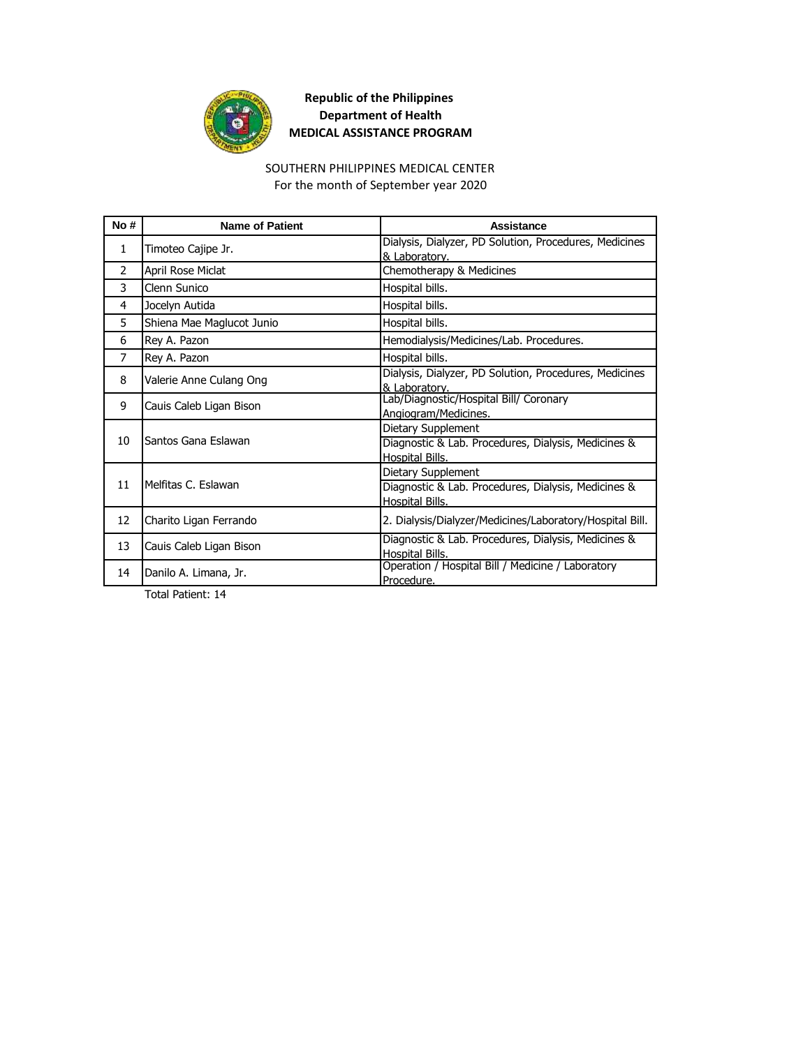

#### SOUTHERN PHILIPPINES MEDICAL CENTER

For the month of September year 2020

| No#           | <b>Name of Patient</b>    | Assistance                                                                                   |
|---------------|---------------------------|----------------------------------------------------------------------------------------------|
| $\mathbf{1}$  | Timoteo Cajipe Jr.        | Dialysis, Dialyzer, PD Solution, Procedures, Medicines<br>& Laboratory.                      |
| $\mathcal{P}$ | April Rose Miclat         | Chemotherapy & Medicines                                                                     |
| 3             | Clenn Sunico              | Hospital bills.                                                                              |
| 4             | Jocelyn Autida            | Hospital bills.                                                                              |
| 5             | Shiena Mae Maglucot Junio | Hospital bills.                                                                              |
| 6             | Rey A. Pazon              | Hemodialysis/Medicines/Lab. Procedures.                                                      |
| 7             | Rey A. Pazon              | Hospital bills.                                                                              |
| 8             | Valerie Anne Culang Ong   | Dialysis, Dialyzer, PD Solution, Procedures, Medicines<br>& Laboratory.                      |
| 9             | Cauis Caleb Ligan Bison   | Lab/Diagnostic/Hospital Bill/ Coronary<br>Angiogram/Medicines.                               |
| 10            | Santos Gana Eslawan       | Dietary Supplement<br>Diagnostic & Lab. Procedures, Dialysis, Medicines &<br>Hospital Bills. |
| 11            | Melfitas C. Eslawan       | Dietary Supplement<br>Diagnostic & Lab. Procedures, Dialysis, Medicines &<br>Hospital Bills. |
| 12            | Charito Ligan Ferrando    | 2. Dialysis/Dialyzer/Medicines/Laboratory/Hospital Bill.                                     |
| 13            | Cauis Caleb Ligan Bison   | Diagnostic & Lab. Procedures, Dialysis, Medicines &<br>Hospital Bills.                       |
| 14            | Danilo A. Limana, Jr.     | Operation / Hospital Bill / Medicine / Laboratory<br>Procedure.                              |